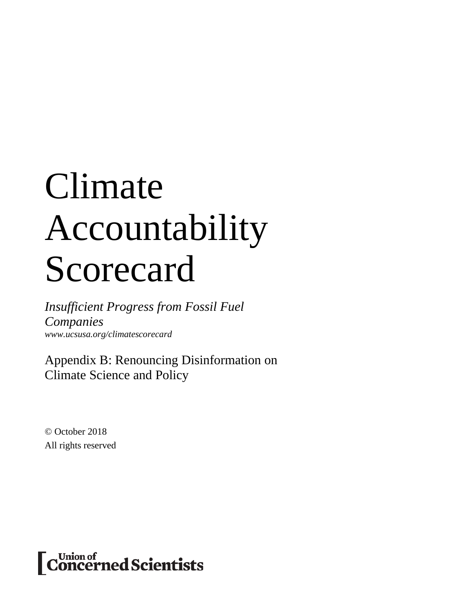# Climate Accountability Scorecard

*Insufficient Progress from Fossil Fuel Companies www.ucsusa.org/climatescorecard*

Appendix B: Renouncing Disinformation on Climate Science and Policy

© October 2018 All rights reserved

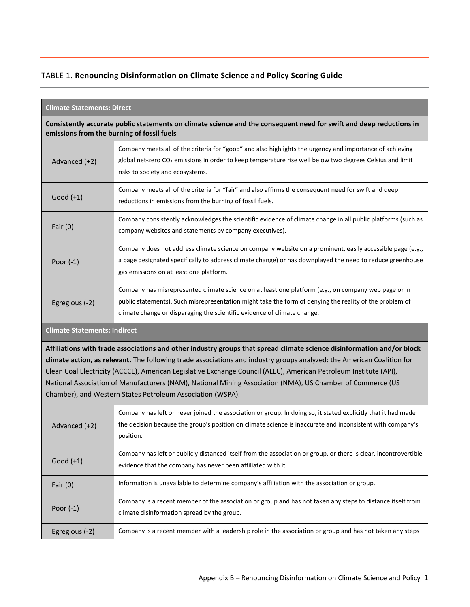# TABLE 1. **Renouncing Disinformation on Climate Science and Policy Scoring Guide**

| <b>Climate Statements: Direct</b>                                                                                                                                                                                                                                                                                                                                                                                                                                                                                                                 |                                                                                                                                                                                                                                                                                             |  |  |
|---------------------------------------------------------------------------------------------------------------------------------------------------------------------------------------------------------------------------------------------------------------------------------------------------------------------------------------------------------------------------------------------------------------------------------------------------------------------------------------------------------------------------------------------------|---------------------------------------------------------------------------------------------------------------------------------------------------------------------------------------------------------------------------------------------------------------------------------------------|--|--|
|                                                                                                                                                                                                                                                                                                                                                                                                                                                                                                                                                   | Consistently accurate public statements on climate science and the consequent need for swift and deep reductions in<br>emissions from the burning of fossil fuels                                                                                                                           |  |  |
| Advanced (+2)                                                                                                                                                                                                                                                                                                                                                                                                                                                                                                                                     | Company meets all of the criteria for "good" and also highlights the urgency and importance of achieving<br>global net-zero CO <sub>2</sub> emissions in order to keep temperature rise well below two degrees Celsius and limit<br>risks to society and ecosystems.                        |  |  |
| Good $(+1)$                                                                                                                                                                                                                                                                                                                                                                                                                                                                                                                                       | Company meets all of the criteria for "fair" and also affirms the consequent need for swift and deep<br>reductions in emissions from the burning of fossil fuels.                                                                                                                           |  |  |
| Fair $(0)$                                                                                                                                                                                                                                                                                                                                                                                                                                                                                                                                        | Company consistently acknowledges the scientific evidence of climate change in all public platforms (such as<br>company websites and statements by company executives).                                                                                                                     |  |  |
| Poor $(-1)$                                                                                                                                                                                                                                                                                                                                                                                                                                                                                                                                       | Company does not address climate science on company website on a prominent, easily accessible page (e.g.,<br>a page designated specifically to address climate change) or has downplayed the need to reduce greenhouse<br>gas emissions on at least one platform.                           |  |  |
| Egregious (-2)                                                                                                                                                                                                                                                                                                                                                                                                                                                                                                                                    | Company has misrepresented climate science on at least one platform (e.g., on company web page or in<br>public statements). Such misrepresentation might take the form of denying the reality of the problem of<br>climate change or disparaging the scientific evidence of climate change. |  |  |
| <b>Climate Statements: Indirect</b>                                                                                                                                                                                                                                                                                                                                                                                                                                                                                                               |                                                                                                                                                                                                                                                                                             |  |  |
| Affiliations with trade associations and other industry groups that spread climate science disinformation and/or block<br>climate action, as relevant. The following trade associations and industry groups analyzed: the American Coalition for<br>Clean Coal Electricity (ACCCE), American Legislative Exchange Council (ALEC), American Petroleum Institute (API),<br>National Association of Manufacturers (NAM), National Mining Association (NMA), US Chamber of Commerce (US<br>Chamber), and Western States Petroleum Association (WSPA). |                                                                                                                                                                                                                                                                                             |  |  |
| Advanced (+2)                                                                                                                                                                                                                                                                                                                                                                                                                                                                                                                                     | Company has left or never joined the association or group. In doing so, it stated explicitly that it had made<br>the decision because the group's position on climate science is inaccurate and inconsistent with company's<br>position.                                                    |  |  |
| Good $(+1)$                                                                                                                                                                                                                                                                                                                                                                                                                                                                                                                                       | Company has left or publicly distanced itself from the association or group, or there is clear, incontrovertible<br>evidence that the company has never been affiliated with it.                                                                                                            |  |  |
| Fair $(0)$                                                                                                                                                                                                                                                                                                                                                                                                                                                                                                                                        | Information is unavailable to determine company's affiliation with the association or group.                                                                                                                                                                                                |  |  |
| Poor $(-1)$                                                                                                                                                                                                                                                                                                                                                                                                                                                                                                                                       | Company is a recent member of the association or group and has not taken any steps to distance itself from<br>climate disinformation spread by the group.                                                                                                                                   |  |  |
| Egregious (-2)                                                                                                                                                                                                                                                                                                                                                                                                                                                                                                                                    | Company is a recent member with a leadership role in the association or group and has not taken any steps                                                                                                                                                                                   |  |  |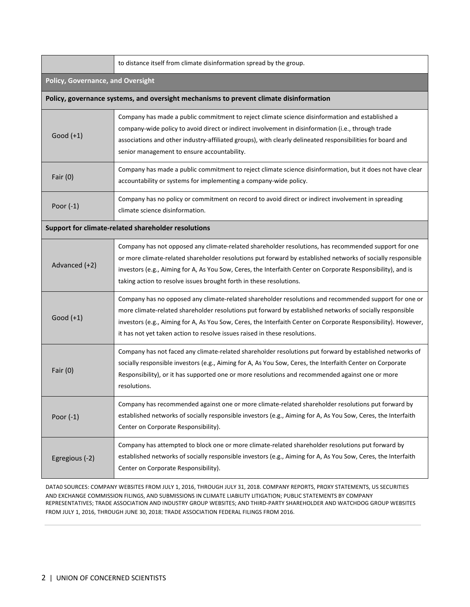|                                                     | to distance itself from climate disinformation spread by the group.                                                                                                                                                                                                                                                                                                                                               |  |  |
|-----------------------------------------------------|-------------------------------------------------------------------------------------------------------------------------------------------------------------------------------------------------------------------------------------------------------------------------------------------------------------------------------------------------------------------------------------------------------------------|--|--|
| <b>Policy, Governance, and Oversight</b>            |                                                                                                                                                                                                                                                                                                                                                                                                                   |  |  |
|                                                     | Policy, governance systems, and oversight mechanisms to prevent climate disinformation                                                                                                                                                                                                                                                                                                                            |  |  |
| Good $(+1)$                                         | Company has made a public commitment to reject climate science disinformation and established a<br>company-wide policy to avoid direct or indirect involvement in disinformation (i.e., through trade<br>associations and other industry-affiliated groups), with clearly delineated responsibilities for board and<br>senior management to ensure accountability.                                                |  |  |
| Fair $(0)$                                          | Company has made a public commitment to reject climate science disinformation, but it does not have clear<br>accountability or systems for implementing a company-wide policy.                                                                                                                                                                                                                                    |  |  |
| Poor $(-1)$                                         | Company has no policy or commitment on record to avoid direct or indirect involvement in spreading<br>climate science disinformation.                                                                                                                                                                                                                                                                             |  |  |
| Support for climate-related shareholder resolutions |                                                                                                                                                                                                                                                                                                                                                                                                                   |  |  |
| Advanced (+2)                                       | Company has not opposed any climate-related shareholder resolutions, has recommended support for one<br>or more climate-related shareholder resolutions put forward by established networks of socially responsible<br>investors (e.g., Aiming for A, As You Sow, Ceres, the Interfaith Center on Corporate Responsibility), and is<br>taking action to resolve issues brought forth in these resolutions.        |  |  |
| Good $(+1)$                                         | Company has no opposed any climate-related shareholder resolutions and recommended support for one or<br>more climate-related shareholder resolutions put forward by established networks of socially responsible<br>investors (e.g., Aiming for A, As You Sow, Ceres, the Interfaith Center on Corporate Responsibility). However,<br>it has not yet taken action to resolve issues raised in these resolutions. |  |  |
| Fair $(0)$                                          | Company has not faced any climate-related shareholder resolutions put forward by established networks of<br>socially responsible investors (e.g., Aiming for A, As You Sow, Ceres, the Interfaith Center on Corporate<br>Responsibility), or it has supported one or more resolutions and recommended against one or more<br>resolutions.                                                                         |  |  |
| Poor $(-1)$                                         | Company has recommended against one or more climate-related shareholder resolutions put forward by<br>established networks of socially responsible investors (e.g., Aiming for A, As You Sow, Ceres, the Interfaith<br>Center on Corporate Responsibility).                                                                                                                                                       |  |  |
| Egregious (-2)                                      | Company has attempted to block one or more climate-related shareholder resolutions put forward by<br>established networks of socially responsible investors (e.g., Aiming for A, As You Sow, Ceres, the Interfaith<br>Center on Corporate Responsibility).                                                                                                                                                        |  |  |

DATA0 SOURCES: COMPANY WEBSITES FROM JULY 1, 2016, THROUGH JULY 31, 2018. COMPANY REPORTS, PROXY STATEMENTS, US SECURITIES AND EXCHANGE COMMISSION FILINGS, AND SUBMISSIONS IN CLIMATE LIABILITY LITIGATION; PUBLIC STATEMENTS BY COMPANY REPRESENTATIVES; TRADE ASSOCIATION AND INDUSTRY GROUP WEBSITES; AND THIRD-PARTY SHAREHOLDER AND WATCHDOG GROUP WEBSITES FROM JULY 1, 2016, THROUGH JUNE 30, 2018; TRADE ASSOCIATION FEDERAL FILINGS FROM 2016.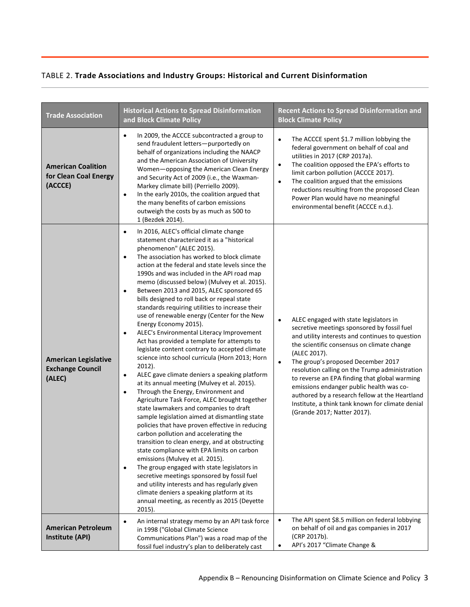# TABLE 2. **Trade Associations and Industry Groups: Historical and Current Disinformation**

| <b>Trade Association</b>                                         | <b>Historical Actions to Spread Disinformation</b><br>and Block Climate Policy                                                                                                                                                                                                                                                                                                                                                                                                                                                                                                                                                                                                                                                                                                                                                                                                                                                                                                                                                                                                                                                                                                                                                                                                                                                                                                                                                                                                                                                                                                                                             | <b>Recent Actions to Spread Disinformation and</b><br><b>Block Climate Policy</b>                                                                                                                                                                                                                                                                                                                                                                                                                                                                          |
|------------------------------------------------------------------|----------------------------------------------------------------------------------------------------------------------------------------------------------------------------------------------------------------------------------------------------------------------------------------------------------------------------------------------------------------------------------------------------------------------------------------------------------------------------------------------------------------------------------------------------------------------------------------------------------------------------------------------------------------------------------------------------------------------------------------------------------------------------------------------------------------------------------------------------------------------------------------------------------------------------------------------------------------------------------------------------------------------------------------------------------------------------------------------------------------------------------------------------------------------------------------------------------------------------------------------------------------------------------------------------------------------------------------------------------------------------------------------------------------------------------------------------------------------------------------------------------------------------------------------------------------------------------------------------------------------------|------------------------------------------------------------------------------------------------------------------------------------------------------------------------------------------------------------------------------------------------------------------------------------------------------------------------------------------------------------------------------------------------------------------------------------------------------------------------------------------------------------------------------------------------------------|
| <b>American Coalition</b><br>for Clean Coal Energy<br>(ACCCE)    | In 2009, the ACCCE subcontracted a group to<br>٠<br>send fraudulent letters-purportedly on<br>behalf of organizations including the NAACP<br>and the American Association of University<br>Women-opposing the American Clean Energy<br>and Security Act of 2009 (i.e., the Waxman-<br>Markey climate bill) (Perriello 2009).<br>In the early 2010s, the coalition argued that<br>$\bullet$<br>the many benefits of carbon emissions<br>outweigh the costs by as much as 500 to<br>1 (Bezdek 2014).                                                                                                                                                                                                                                                                                                                                                                                                                                                                                                                                                                                                                                                                                                                                                                                                                                                                                                                                                                                                                                                                                                                         | The ACCCE spent \$1.7 million lobbying the<br>$\bullet$<br>federal government on behalf of coal and<br>utilities in 2017 (CRP 2017a).<br>The coalition opposed the EPA's efforts to<br>$\bullet$<br>limit carbon pollution (ACCCE 2017).<br>The coalition argued that the emissions<br>$\bullet$<br>reductions resulting from the proposed Clean<br>Power Plan would have no meaningful<br>environmental benefit (ACCCE n.d.).                                                                                                                             |
| <b>American Legislative</b><br><b>Exchange Council</b><br>(ALEC) | In 2016, ALEC's official climate change<br>$\bullet$<br>statement characterized it as a "historical<br>phenomenon" (ALEC 2015).<br>The association has worked to block climate<br>$\bullet$<br>action at the federal and state levels since the<br>1990s and was included in the API road map<br>memo (discussed below) (Mulvey et al. 2015).<br>Between 2013 and 2015, ALEC sponsored 65<br>$\bullet$<br>bills designed to roll back or repeal state<br>standards requiring utilities to increase their<br>use of renewable energy (Center for the New<br>Energy Economy 2015).<br>ALEC's Environmental Literacy Improvement<br>$\bullet$<br>Act has provided a template for attempts to<br>legislate content contrary to accepted climate<br>science into school curricula (Horn 2013; Horn<br>$2012$ ).<br>ALEC gave climate deniers a speaking platform<br>$\bullet$<br>at its annual meeting (Mulvey et al. 2015).<br>Through the Energy, Environment and<br>$\bullet$<br>Agriculture Task Force, ALEC brought together<br>state lawmakers and companies to draft<br>sample legislation aimed at dismantling state<br>policies that have proven effective in reducing<br>carbon pollution and accelerating the<br>transition to clean energy, and at obstructing<br>state compliance with EPA limits on carbon<br>emissions (Mulvey et al. 2015).<br>The group engaged with state legislators in<br>$\bullet$<br>secretive meetings sponsored by fossil fuel<br>and utility interests and has regularly given<br>climate deniers a speaking platform at its<br>annual meeting, as recently as 2015 (Deyette<br>2015). | ALEC engaged with state legislators in<br>$\bullet$<br>secretive meetings sponsored by fossil fuel<br>and utility interests and continues to question<br>the scientific consensus on climate change<br>(ALEC 2017).<br>The group's proposed December 2017<br>$\bullet$<br>resolution calling on the Trump administration<br>to reverse an EPA finding that global warming<br>emissions endanger public health was co-<br>authored by a research fellow at the Heartland<br>Institute, a think tank known for climate denial<br>(Grande 2017; Natter 2017). |
| <b>American Petroleum</b><br><b>Institute (API)</b>              | An internal strategy memo by an API task force<br>$\bullet$<br>in 1998 ("Global Climate Science<br>Communications Plan") was a road map of the<br>fossil fuel industry's plan to deliberately cast                                                                                                                                                                                                                                                                                                                                                                                                                                                                                                                                                                                                                                                                                                                                                                                                                                                                                                                                                                                                                                                                                                                                                                                                                                                                                                                                                                                                                         | The API spent \$8.5 million on federal lobbying<br>$\bullet$<br>on behalf of oil and gas companies in 2017<br>(CRP 2017b).<br>API's 2017 "Climate Change &<br>$\bullet$                                                                                                                                                                                                                                                                                                                                                                                    |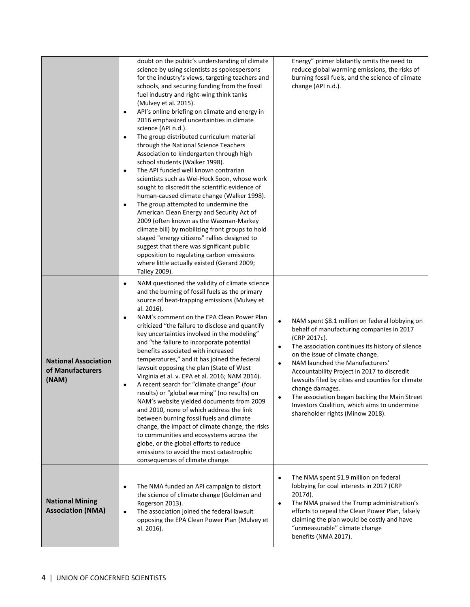|                                                          | doubt on the public's understanding of climate<br>science by using scientists as spokespersons<br>for the industry's views, targeting teachers and<br>schools, and securing funding from the fossil<br>fuel industry and right-wing think tanks<br>(Mulvey et al. 2015).<br>API's online briefing on climate and energy in<br>$\bullet$<br>2016 emphasized uncertainties in climate<br>science (API n.d.).<br>The group distributed curriculum material<br>$\bullet$<br>through the National Science Teachers<br>Association to kindergarten through high<br>school students (Walker 1998).<br>The API funded well known contrarian<br>$\bullet$<br>scientists such as Wei-Hock Soon, whose work<br>sought to discredit the scientific evidence of<br>human-caused climate change (Walker 1998).<br>The group attempted to undermine the<br>$\bullet$<br>American Clean Energy and Security Act of<br>2009 (often known as the Waxman-Markey<br>climate bill) by mobilizing front groups to hold<br>staged "energy citizens" rallies designed to<br>suggest that there was significant public<br>opposition to regulating carbon emissions<br>where little actually existed (Gerard 2009;<br>Talley 2009). | Energy" primer blatantly omits the need to<br>reduce global warming emissions, the risks of<br>burning fossil fuels, and the science of climate<br>change (API n.d.).                                                                                                                                                                                                                                                                                                                                                       |
|----------------------------------------------------------|------------------------------------------------------------------------------------------------------------------------------------------------------------------------------------------------------------------------------------------------------------------------------------------------------------------------------------------------------------------------------------------------------------------------------------------------------------------------------------------------------------------------------------------------------------------------------------------------------------------------------------------------------------------------------------------------------------------------------------------------------------------------------------------------------------------------------------------------------------------------------------------------------------------------------------------------------------------------------------------------------------------------------------------------------------------------------------------------------------------------------------------------------------------------------------------------------------|-----------------------------------------------------------------------------------------------------------------------------------------------------------------------------------------------------------------------------------------------------------------------------------------------------------------------------------------------------------------------------------------------------------------------------------------------------------------------------------------------------------------------------|
| <b>National Association</b><br>of Manufacturers<br>(NAM) | NAM questioned the validity of climate science<br>$\bullet$<br>and the burning of fossil fuels as the primary<br>source of heat-trapping emissions (Mulvey et<br>al. 2016).<br>NAM's comment on the EPA Clean Power Plan<br>$\bullet$<br>criticized "the failure to disclose and quantify<br>key uncertainties involved in the modeling"<br>and "the failure to incorporate potential<br>benefits associated with increased<br>temperatures," and it has joined the federal<br>lawsuit opposing the plan (State of West<br>Virginia et al. v. EPA et al. 2016; NAM 2014).<br>A recent search for "climate change" (four<br>$\bullet$<br>results) or "global warming" (no results) on<br>NAM's website yielded documents from 2009<br>and 2010, none of which address the link<br>between burning fossil fuels and climate<br>change, the impact of climate change, the risks<br>to communities and ecosystems across the<br>globe, or the global efforts to reduce<br>emissions to avoid the most catastrophic<br>consequences of climate change.                                                                                                                                                          | NAM spent \$8.1 million on federal lobbying on<br>behalf of manufacturing companies in 2017<br>(CRP 2017c).<br>The association continues its history of silence<br>$\bullet$<br>on the issue of climate change.<br>NAM launched the Manufacturers'<br>$\bullet$<br>Accountability Project in 2017 to discredit<br>lawsuits filed by cities and counties for climate<br>change damages.<br>The association began backing the Main Street<br>Investors Coalition, which aims to undermine<br>shareholder rights (Minow 2018). |
| <b>National Mining</b><br><b>Association (NMA)</b>       | The NMA funded an API campaign to distort<br>٠<br>the science of climate change (Goldman and<br>Rogerson 2013).<br>The association joined the federal lawsuit<br>$\bullet$<br>opposing the EPA Clean Power Plan (Mulvey et<br>al. 2016).                                                                                                                                                                                                                                                                                                                                                                                                                                                                                                                                                                                                                                                                                                                                                                                                                                                                                                                                                                   | The NMA spent \$1.9 million on federal<br>$\bullet$<br>lobbying for coal interests in 2017 (CRP<br>2017d).<br>The NMA praised the Trump administration's<br>$\bullet$<br>efforts to repeal the Clean Power Plan, falsely<br>claiming the plan would be costly and have<br>"unmeasurable" climate change<br>benefits (NMA 2017).                                                                                                                                                                                             |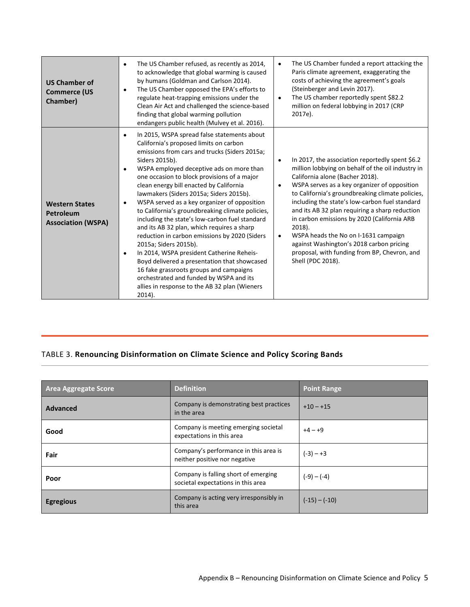| <b>US Chamber of</b><br><b>Commerce (US</b><br>Chamber)         | The US Chamber refused, as recently as 2014,<br>$\bullet$<br>to acknowledge that global warming is caused<br>by humans (Goldman and Carlson 2014).<br>The US Chamber opposed the EPA's efforts to<br>$\bullet$<br>regulate heat-trapping emissions under the<br>Clean Air Act and challenged the science-based<br>finding that global warming pollution<br>endangers public health (Mulvey et al. 2016).                                                                                                                                                                                                                                                                                                                                                                                                                                                                                                  | The US Chamber funded a report attacking the<br>$\bullet$<br>Paris climate agreement, exaggerating the<br>costs of achieving the agreement's goals<br>(Steinberger and Levin 2017).<br>The US chamber reportedly spent \$82.2<br>$\bullet$<br>million on federal lobbying in 2017 (CRP<br>2017e).                                                                                                                                                                                                                                                                                                   |
|-----------------------------------------------------------------|-----------------------------------------------------------------------------------------------------------------------------------------------------------------------------------------------------------------------------------------------------------------------------------------------------------------------------------------------------------------------------------------------------------------------------------------------------------------------------------------------------------------------------------------------------------------------------------------------------------------------------------------------------------------------------------------------------------------------------------------------------------------------------------------------------------------------------------------------------------------------------------------------------------|-----------------------------------------------------------------------------------------------------------------------------------------------------------------------------------------------------------------------------------------------------------------------------------------------------------------------------------------------------------------------------------------------------------------------------------------------------------------------------------------------------------------------------------------------------------------------------------------------------|
| <b>Western States</b><br>Petroleum<br><b>Association (WSPA)</b> | In 2015, WSPA spread false statements about<br>$\bullet$<br>California's proposed limits on carbon<br>emissions from cars and trucks (Siders 2015a;<br>Siders 2015b).<br>WSPA employed deceptive ads on more than<br>٠<br>one occasion to block provisions of a major<br>clean energy bill enacted by California<br>lawmakers (Siders 2015a; Siders 2015b).<br>WSPA served as a key organizer of opposition<br>$\bullet$<br>to California's groundbreaking climate policies,<br>including the state's low-carbon fuel standard<br>and its AB 32 plan, which requires a sharp<br>reduction in carbon emissions by 2020 (Siders<br>2015a; Siders 2015b).<br>In 2014, WSPA president Catherine Reheis-<br>٠<br>Boyd delivered a presentation that showcased<br>16 fake grassroots groups and campaigns<br>orchestrated and funded by WSPA and its<br>allies in response to the AB 32 plan (Wieners<br>2014). | In 2017, the association reportedly spent \$6.2<br>$\bullet$<br>million lobbying on behalf of the oil industry in<br>California alone (Bacher 2018).<br>WSPA serves as a key organizer of opposition<br>$\bullet$<br>to California's groundbreaking climate policies,<br>including the state's low-carbon fuel standard<br>and its AB 32 plan requiring a sharp reduction<br>in carbon emissions by 2020 (California ARB<br>$2018$ ).<br>WSPA heads the No on I-1631 campaign<br>٠<br>against Washington's 2018 carbon pricing<br>proposal, with funding from BP, Chevron, and<br>Shell (PDC 2018). |

# TABLE 3. **Renouncing Disinformation on Climate Science and Policy Scoring Bands**

| <b>Area Aggregate Score</b> | <b>Definition</b>                                                          | <b>Point Range</b> |
|-----------------------------|----------------------------------------------------------------------------|--------------------|
| <b>Advanced</b>             | Company is demonstrating best practices<br>in the area                     | $+10 - +15$        |
| Good                        | Company is meeting emerging societal<br>expectations in this area          | $+4 - +9$          |
| Fair                        | Company's performance in this area is<br>neither positive nor negative     | $(-3) - +3$        |
| Poor                        | Company is falling short of emerging<br>societal expectations in this area | $(-9) - (-4)$      |
| <b>Egregious</b>            | Company is acting very irresponsibly in<br>this area                       | $(-15) - (-10)$    |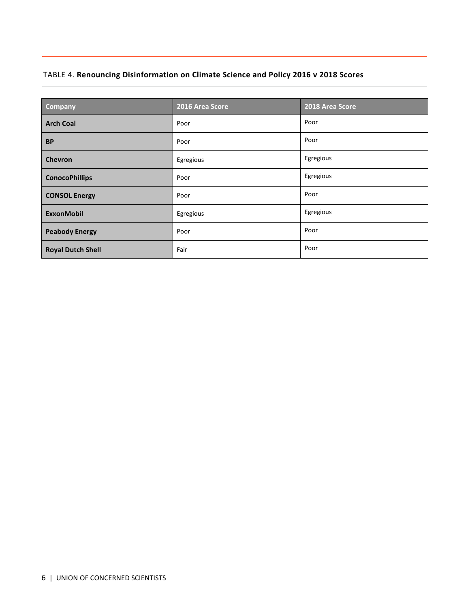# TABLE 4. **Renouncing Disinformation on Climate Science and Policy 2016 v 2018 Scores**

| Company                  | 2016 Area Score | 2018 Area Score |
|--------------------------|-----------------|-----------------|
| <b>Arch Coal</b>         | Poor            | Poor            |
| <b>BP</b>                | Poor            | Poor            |
| <b>Chevron</b>           | Egregious       | Egregious       |
| <b>ConocoPhillips</b>    | Poor            | Egregious       |
| <b>CONSOL Energy</b>     | Poor            | Poor            |
| <b>ExxonMobil</b>        | Egregious       | Egregious       |
| <b>Peabody Energy</b>    | Poor            | Poor            |
| <b>Royal Dutch Shell</b> | Fair            | Poor            |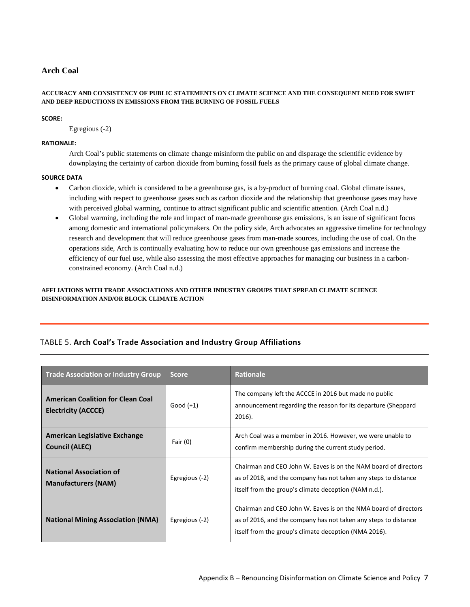# **Arch Coal**

# **ACCURACY AND CONSISTENCY OF PUBLIC STATEMENTS ON CLIMATE SCIENCE AND THE CONSEQUENT NEED FOR SWIFT AND DEEP REDUCTIONS IN EMISSIONS FROM THE BURNING OF FOSSIL FUELS**

# **SCORE:**

Egregious (-2)

# **RATIONALE:**

Arch Coal's public statements on climate change misinform the public on and disparage the scientific evidence by downplaying the certainty of carbon dioxide from burning fossil fuels as the primary cause of global climate change.

# **SOURCE DATA**

- Carbon dioxide, which is considered to be a greenhouse gas, is a by-product of burning coal. Global climate issues, including with respect to greenhouse gases such as carbon dioxide and the relationship that greenhouse gases may have with perceived global warming, continue to attract significant public and scientific attention. (Arch Coal n.d.)
- Global warming, including the role and impact of man-made greenhouse gas emissions, is an issue of significant focus among domestic and international policymakers. On the policy side, Arch advocates an aggressive timeline for technology research and development that will reduce greenhouse gases from man-made sources, including the use of coal. On the operations side, Arch is continually evaluating how to reduce our own greenhouse gas emissions and increase the efficiency of our fuel use, while also assessing the most effective approaches for managing our business in a carbonconstrained economy. (Arch Coal n.d.)

# **AFFLIATIONS WITH TRADE ASSOCIATIONS AND OTHER INDUSTRY GROUPS THAT SPREAD CLIMATE SCIENCE DISINFORMATION AND/OR BLOCK CLIMATE ACTION**

# TABLE 5. **Arch Coal's Trade Association and Industry Group Affiliations**

| <b>Trade Association or Industry Group</b>                             | <b>Score</b>   | <b>Rationale</b>                                                                                                                                                                            |
|------------------------------------------------------------------------|----------------|---------------------------------------------------------------------------------------------------------------------------------------------------------------------------------------------|
| <b>American Coalition for Clean Coal</b><br><b>Electricity (ACCCE)</b> | Good $(+1)$    | The company left the ACCCE in 2016 but made no public<br>announcement regarding the reason for its departure (Sheppard<br>$2016$ ).                                                         |
| American Legislative Exchange<br>Council (ALEC)                        | Fair $(0)$     | Arch Coal was a member in 2016. However, we were unable to<br>confirm membership during the current study period.                                                                           |
| <b>National Association of</b><br><b>Manufacturers (NAM)</b>           | Egregious (-2) | Chairman and CEO John W. Eaves is on the NAM board of directors<br>as of 2018, and the company has not taken any steps to distance<br>itself from the group's climate deception (NAM n.d.). |
| <b>National Mining Association (NMA)</b>                               | Egregious (-2) | Chairman and CEO John W. Eaves is on the NMA board of directors<br>as of 2016, and the company has not taken any steps to distance<br>itself from the group's climate deception (NMA 2016). |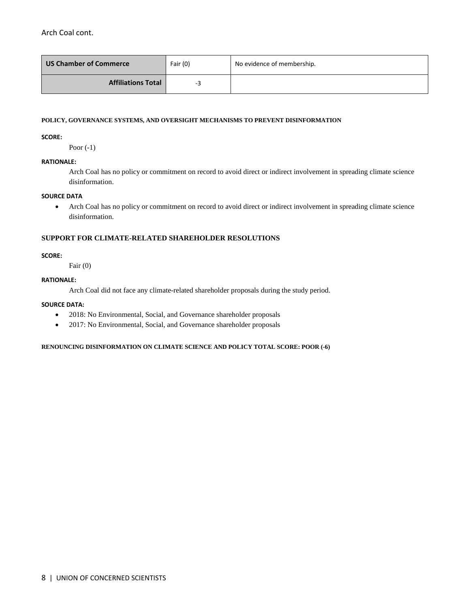Arch Coal cont.

| US Chamber of Commerce    | Fair (0) | No evidence of membership. |
|---------------------------|----------|----------------------------|
| <b>Affiliations Total</b> | -3       |                            |

#### **POLICY, GOVERNANCE SYSTEMS, AND OVERSIGHT MECHANISMS TO PREVENT DISINFORMATION**

**SCORE:** 

Poor (-1)

# **RATIONALE:**

Arch Coal has no policy or commitment on record to avoid direct or indirect involvement in spreading climate science disinformation.

#### **SOURCE DATA**

• Arch Coal has no policy or commitment on record to avoid direct or indirect involvement in spreading climate science disinformation.

# **SUPPORT FOR CLIMATE-RELATED SHAREHOLDER RESOLUTIONS**

#### **SCORE:**

Fair (0)

# **RATIONALE:**

Arch Coal did not face any climate-related shareholder proposals during the study period.

# **SOURCE DATA:**

- 2018: No Environmental, Social, and Governance shareholder proposals
- 2017: No Environmental, Social, and Governance shareholder proposals

**RENOUNCING DISINFORMATION ON CLIMATE SCIENCE AND POLICY TOTAL SCORE: POOR (-6)**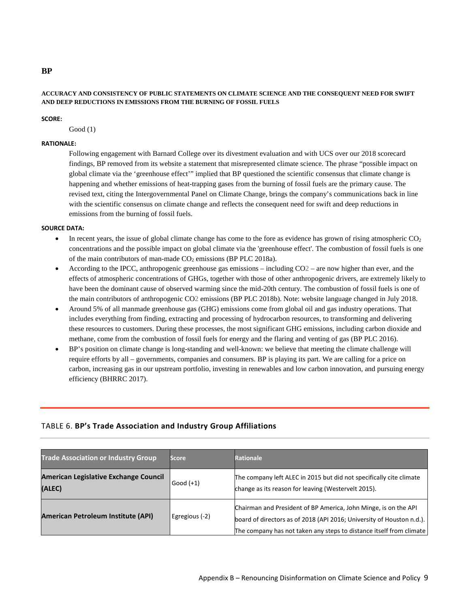# **ACCURACY AND CONSISTENCY OF PUBLIC STATEMENTS ON CLIMATE SCIENCE AND THE CONSEQUENT NEED FOR SWIFT AND DEEP REDUCTIONS IN EMISSIONS FROM THE BURNING OF FOSSIL FUELS**

#### **SCORE:**

Good (1)

# **RATIONALE:**

Following engagement with Barnard College over its divestment evaluation and with UCS over our 2018 scorecard findings, BP removed from its website a statement that misrepresented climate science. The phrase "possible impact on global climate via the 'greenhouse effect'" implied that BP questioned the scientific consensus that climate change is happening and whether emissions of heat-trapping gases from the burning of fossil fuels are the primary cause. The revised text, citing the Intergovernmental Panel on Climate Change, brings the company's communications back in line with the scientific consensus on climate change and reflects the consequent need for swift and deep reductions in emissions from the burning of fossil fuels.

#### **SOURCE DATA:**

- In recent years, the issue of global climate change has come to the fore as evidence has grown of rising atmospheric  $CO<sub>2</sub>$ concentrations and the possible impact on global climate via the 'greenhouse effect'. The combustion of fossil fuels is one of the main contributors of man-made  $CO<sub>2</sub>$  emissions (BP PLC 2018a).
- According to the IPCC, anthropogenic greenhouse gas emissions including CO2 are now higher than ever, and the effects of atmospheric concentrations of GHGs, together with those of other anthropogenic drivers, are extremely likely to have been the dominant cause of observed warming since the mid-20th century. The combustion of fossil fuels is one of the main contributors of anthropogenic CO2 emissions (BP PLC 2018b). Note: website language changed in July 2018.
- Around 5% of all manmade greenhouse gas (GHG) emissions come from global oil and gas industry operations. That includes everything from finding, extracting and processing of hydrocarbon resources, to transforming and delivering these resources to customers. During these processes, the most significant GHG emissions, including carbon dioxide and methane, come from the combustion of fossil fuels for energy and the flaring and venting of gas [\(BP PLC 2016\).](https://www.bp.com/content/dam/bp/en/corporate/pdf/sustainability-report/group-reports/bp-sustainability-report-2016.pdf)
- BP's position on climate change is long-standing and well-known: we believe that meeting the climate challenge will require efforts by all – governments, companies and consumers. BP is playing its part. We are calling for a price on carbon, increasing gas in our upstream portfolio, investing in renewables and low carbon innovation, and pursuing energy efficienc[y \(BHRRC](https://business-humanrights.org/sites/default/files/documents/BP%20response_UCS%20report_18%20September%202017.pdf) 2017).

# TABLE 6. **BP's Trade Association and Industry Group Affiliations**

| <b>Trade Association or Industry Group</b>      | <b>Score</b>   | <b>Rationale</b>                                                                                                                                                                                                |
|-------------------------------------------------|----------------|-----------------------------------------------------------------------------------------------------------------------------------------------------------------------------------------------------------------|
| American Legislative Exchange Council<br>(ALEC) | Good $(+1)$    | The company left ALEC in 2015 but did not specifically cite climate<br>change as its reason for leaving (Westervelt 2015).                                                                                      |
| <b>American Petroleum Institute (API)</b>       | Egregious (-2) | Chairman and President of BP America, John Minge, is on the API<br>board of directors as of 2018 (API 2016; University of Houston n.d.).<br>The company has not taken any steps to distance itself from climate |

# **BP**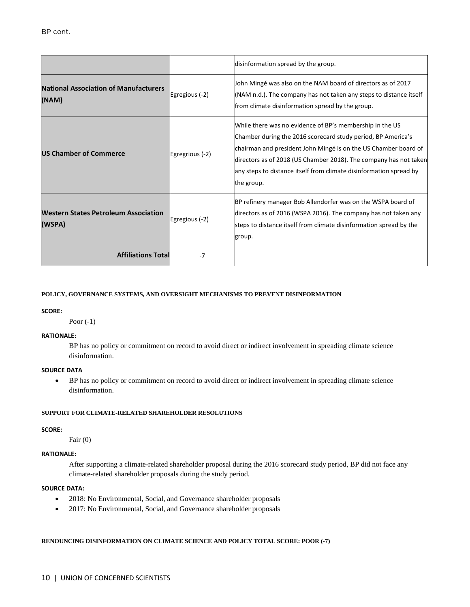|                                                       |                 | disinformation spread by the group.                                                                                                                                                                                                                                                                                                                  |
|-------------------------------------------------------|-----------------|------------------------------------------------------------------------------------------------------------------------------------------------------------------------------------------------------------------------------------------------------------------------------------------------------------------------------------------------------|
| <b>National Association of Manufacturers</b><br>(NAM) | Egregious (-2)  | John Mingé was also on the NAM board of directors as of 2017<br>(NAM n.d.). The company has not taken any steps to distance itself<br>from climate disinformation spread by the group.                                                                                                                                                               |
| <b>US Chamber of Commerce</b>                         | Egregrious (-2) | While there was no evidence of BP's membership in the US<br>Chamber during the 2016 scorecard study period, BP America's<br>chairman and president John Mingé is on the US Chamber board of<br>directors as of 2018 (US Chamber 2018). The company has not taken<br>any steps to distance itself from climate disinformation spread by<br>the group. |
| <b>Western States Petroleum Association</b><br>(WSPA) | Egregious (-2)  | BP refinery manager Bob Allendorfer was on the WSPA board of<br>directors as of 2016 (WSPA 2016). The company has not taken any<br>steps to distance itself from climate disinformation spread by the<br>group.                                                                                                                                      |
| <b>Affiliations Total</b>                             | $-7$            |                                                                                                                                                                                                                                                                                                                                                      |

#### **SCORE:**

Poor (-1)

# **RATIONALE:**

BP has no policy or commitment on record to avoid direct or indirect involvement in spreading climate science disinformation.

## **SOURCE DATA**

• BP has no policy or commitment on record to avoid direct or indirect involvement in spreading climate science disinformation.

#### **SUPPORT FOR CLIMATE-RELATED SHAREHOLDER RESOLUTIONS**

#### **SCORE:**

Fair (0)

# **RATIONALE:**

After supporting a climate-related shareholder proposal during the 2016 scorecard study period, BP did not face any climate-related shareholder proposals during the study period.

# **SOURCE DATA:**

- 2018: No Environmental, Social, and Governance shareholder proposals
- 2017: No Environmental, Social, and Governance shareholder proposals

#### **RENOUNCING DISINFORMATION ON CLIMATE SCIENCE AND POLICY TOTAL SCORE: POOR (-7)**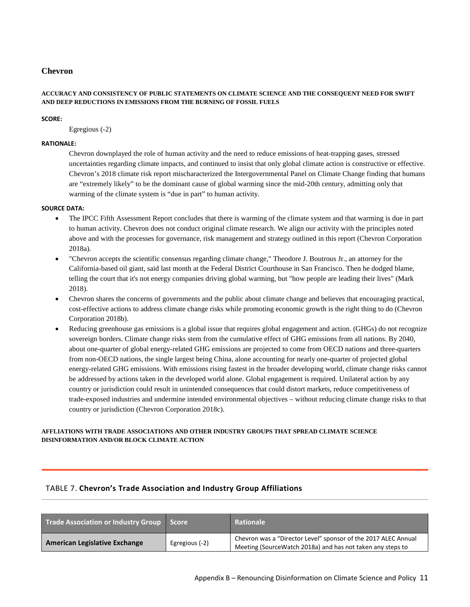# **Chevron**

# **ACCURACY AND CONSISTENCY OF PUBLIC STATEMENTS ON CLIMATE SCIENCE AND THE CONSEQUENT NEED FOR SWIFT AND DEEP REDUCTIONS IN EMISSIONS FROM THE BURNING OF FOSSIL FUELS**

# **SCORE:**

Egregious (-2)

#### **RATIONALE:**

Chevron downplayed the role of human activity and the need to reduce emissions of heat-trapping gases, stressed uncertainties regarding climate impacts, and continued to insist that only global climate action is constructive or effective. Chevron's 2018 climate risk report mischaracterized the Intergovernmental Panel on Climate Change finding that humans are "extremely likely" to be the dominant cause of global warming since the mid-20th century, admitting only that warming of the climate system is "due in part" to human activity.

#### **SOURCE DATA:**

- The IPCC Fifth Assessment Report concludes that there is warming of the climate system and that warming is due in part to human activity. Chevron does not conduct original climate research. We align our activity with the principles noted above and with the processes for governance, risk management and strategy outlined in this report (Chevron Corporation 2018a).
- "Chevron accepts the scientific consensus regarding climate change," Theodore J. Boutrous Jr., an attorney for the California-based oil giant, said last month at the Federal District Courthouse in San Francisco. Then he dodged blame, telling the court that it's not energy companies driving global warming, but "how people are leading their lives" (Mark 2018).
- Chevron shares the concerns of governments and the public about climate change and believes that encouraging practical, cost-effective actions to address climate change risks while promoting economic growth is the right thing to do (Chevron Corporation 2018b).
- Reducing greenhouse gas emissions is a global issue that requires global engagement and action. (GHGs) do not recognize sovereign borders. Climate change risks stem from the cumulative effect of GHG emissions from all nations. By 2040, about one-quarter of global energy-related GHG emissions are projected to come from OECD nations and three-quarters from non-OECD nations, the single largest being China, alone accounting for nearly one-quarter of projected global energy-related GHG emissions. With emissions rising fastest in the broader developing world, climate change risks cannot be addressed by actions taken in the developed world alone. Global engagement is required. Unilateral action by any country or jurisdiction could result in unintended consequences that could distort markets, reduce competitiveness of trade-exposed industries and undermine intended environmental objectives – without reducing climate change risks to that country or jurisdiction (Chevron Corporation 2018c).

# **AFFLIATIONS WITH TRADE ASSOCIATIONS AND OTHER INDUSTRY GROUPS THAT SPREAD CLIMATE SCIENCE DISINFORMATION AND/OR BLOCK CLIMATE ACTION**

# TABLE 7. **Chevron's Trade Association and Industry Group Affiliations**

| Trade Association or Industry Group Score |                | Rationale                                                                                                                    |
|-------------------------------------------|----------------|------------------------------------------------------------------------------------------------------------------------------|
| <b>American Legislative Exchange</b>      | Egregious (-2) | Chevron was a "Director Level" sponsor of the 2017 ALEC Annual<br>Meeting (SourceWatch 2018a) and has not taken any steps to |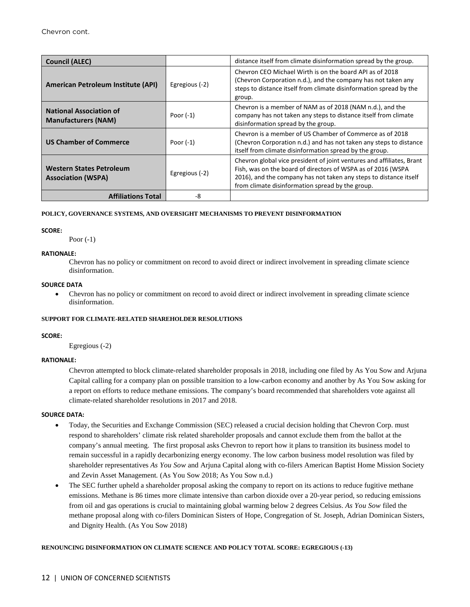| <b>Council (ALEC)</b>                                        |                | distance itself from climate disinformation spread by the group.                                                                                                                                                                                               |
|--------------------------------------------------------------|----------------|----------------------------------------------------------------------------------------------------------------------------------------------------------------------------------------------------------------------------------------------------------------|
| American Petroleum Institute (API)                           | Egregious (-2) | Chevron CEO Michael Wirth is on the board API as of 2018<br>(Chevron Corporation n.d.), and the company has not taken any<br>steps to distance itself from climate disinformation spread by the<br>group.                                                      |
| <b>National Association of</b><br><b>Manufacturers (NAM)</b> | Poor $(-1)$    | Chevron is a member of NAM as of 2018 (NAM n.d.), and the<br>company has not taken any steps to distance itself from climate<br>disinformation spread by the group.                                                                                            |
| <b>US Chamber of Commerce</b>                                | Poor $(-1)$    | Chevron is a member of US Chamber of Commerce as of 2018<br>(Chevron Corporation n.d.) and has not taken any steps to distance<br>itself from climate disinformation spread by the group.                                                                      |
| <b>Western States Petroleum</b><br><b>Association (WSPA)</b> | Egregious (-2) | Chevron global vice president of joint ventures and affiliates, Brant<br>Fish, was on the board of directors of WSPA as of 2016 (WSPA<br>2016), and the company has not taken any steps to distance itself<br>from climate disinformation spread by the group. |
| <b>Affiliations Total</b>                                    | -8             |                                                                                                                                                                                                                                                                |

#### **SCORE:**

Poor (-1)

#### **RATIONALE:**

Chevron has no policy or commitment on record to avoid direct or indirect involvement in spreading climate science disinformation.

#### **SOURCE DATA**

• Chevron has no policy or commitment on record to avoid direct or indirect involvement in spreading climate science disinformation.

# **SUPPORT FOR CLIMATE-RELATED SHAREHOLDER RESOLUTIONS**

#### **SCORE:**

Egregious (-2)

# **RATIONALE:**

Chevron attempted to block climate-related shareholder proposals in 2018, including one filed by As You Sow and Arjuna Capital calling for a company plan on possible transition to a low-carbon economy and another by As You Sow asking for a report on efforts to reduce methane emissions. The company's board recommended that shareholders vote against all climate-related shareholder resolutions in 2017 and 2018.

#### **SOURCE DATA:**

- Today, the Securities and Exchange Commission (SEC) released a crucial decision holding that Chevron Corp. must respond to shareholders' climate risk related shareholder proposals and cannot exclude them from the ballot at the company's annual meeting. The first proposal asks Chevron to report how it plans to transition its business model to remain successful in a rapidly decarbonizing energy economy. The low carbon business model resolution was filed by shareholder representatives *As You Sow* and Arjuna Capital along with co-filers American Baptist Home Mission Society and Zevin Asset Management*.* (As You Sow 2018; As You Sow n.d.)
- The SEC further upheld a shareholder proposal asking the company to report on its actions to reduce fugitive methane emissions. Methane is 86 times more climate intensive than carbon dioxide over a 20-year period, so reducing emissions from oil and gas operations is crucial to maintaining global warming below 2 degrees Celsius. *As You Sow* filed the methane proposal along with co-filers Dominican Sisters of Hope, Congregation of St. Joseph, Adrian Dominican Sisters, and Dignity Health. (As You Sow 2018)

#### **RENOUNCING DISINFORMATION ON CLIMATE SCIENCE AND POLICY TOTAL SCORE: EGREGIOUS (-13)**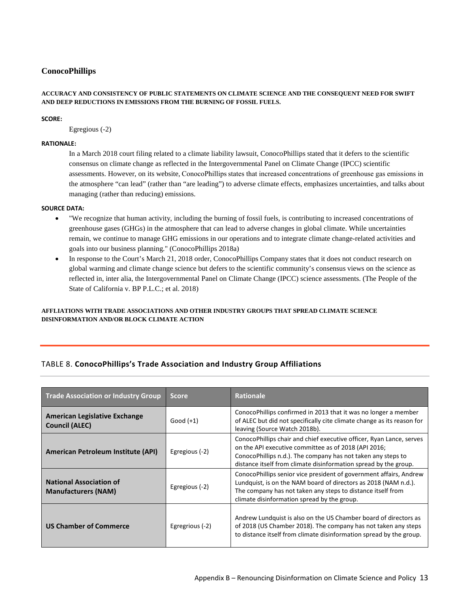# **ConocoPhillips**

#### **ACCURACY AND CONSISTENCY OF PUBLIC STATEMENTS ON CLIMATE SCIENCE AND THE CONSEQUENT NEED FOR SWIFT AND DEEP REDUCTIONS IN EMISSIONS FROM THE BURNING OF FOSSIL FUELS.**

#### **SCORE:**

Egregious (-2)

#### **RATIONALE:**

In a March 2018 court filing related to a climate liability lawsuit, ConocoPhillips stated that it defers to the scientific consensus on climate change as reflected in the Intergovernmental Panel on Climate Change (IPCC) scientific assessments. However, on its website, ConocoPhillips states that increased concentrations of greenhouse gas emissions in the atmosphere "can lead" (rather than "are leading") to adverse climate effects, emphasizes uncertainties, and talks about managing (rather than reducing) emissions.

#### **SOURCE DATA:**

- "We recognize that human activity, including the burning of fossil fuels, is contributing to increased concentrations of greenhouse gases (GHGs) in the atmosphere that can lead to adverse changes in global climate. While uncertainties remain, we continue to manage GHG emissions in our operations and to integrate climate change-related activities and goals into our business planning." (ConocoPhillips 2018a)
- In response to the Court's March 21, 2018 order, ConocoPhillips Company states that it does not conduct research on global warming and climate change science but defers to the scientific community's consensus views on the science as reflected in, inter alia, the Intergovernmental Panel on Climate Change (IPCC) science assessments. (The People of the State of California v. BP P.L.C.; et al. 2018)

# **AFFLIATIONS WITH TRADE ASSOCIATIONS AND OTHER INDUSTRY GROUPS THAT SPREAD CLIMATE SCIENCE DISINFORMATION AND/OR BLOCK CLIMATE ACTION**

# TABLE 8. **ConocoPhillips's Trade Association and Industry Group Affiliations**

| <b>Trade Association or Industry Group</b>                    | <b>Score</b>    | <b>Rationale</b>                                                                                                                                                                                                                                                 |
|---------------------------------------------------------------|-----------------|------------------------------------------------------------------------------------------------------------------------------------------------------------------------------------------------------------------------------------------------------------------|
| <b>American Legislative Exchange</b><br><b>Council (ALEC)</b> | Good $(+1)$     | ConocoPhillips confirmed in 2013 that it was no longer a member<br>of ALEC but did not specifically cite climate change as its reason for<br>leaving (Source Watch 2018b).                                                                                       |
| American Petroleum Institute (API)                            | Egregious (-2)  | ConocoPhillips chair and chief executive officer, Ryan Lance, serves<br>on the API executive committee as of 2018 (API 2016;<br>ConocoPhillips n.d.). The company has not taken any steps to<br>distance itself from climate disinformation spread by the group. |
| <b>National Association of</b><br><b>Manufacturers (NAM)</b>  | Egregious (-2)  | ConocoPhillips senior vice president of government affairs, Andrew<br>Lundquist, is on the NAM board of directors as 2018 (NAM n.d.).<br>The company has not taken any steps to distance itself from<br>climate disinformation spread by the group.              |
| <b>US Chamber of Commerce</b>                                 | Egregrious (-2) | Andrew Lundquist is also on the US Chamber board of directors as<br>of 2018 (US Chamber 2018). The company has not taken any steps<br>to distance itself from climate disinformation spread by the group.                                                        |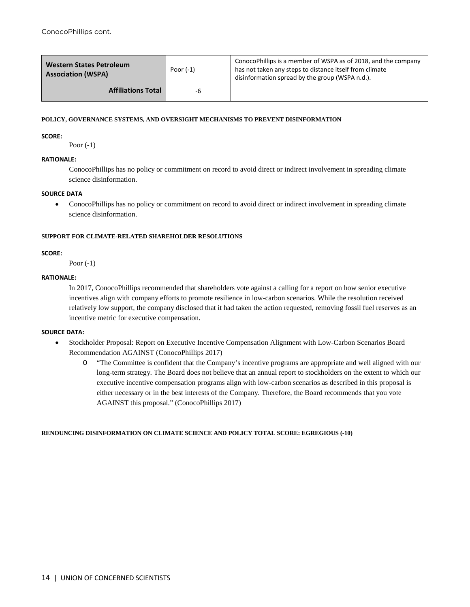| <b>Western States Petroleum</b><br><b>Association (WSPA)</b> | Poor $(-1)$ | ConocoPhillips is a member of WSPA as of 2018, and the company<br>has not taken any steps to distance itself from climate<br>disinformation spread by the group (WSPA n.d.). |
|--------------------------------------------------------------|-------------|------------------------------------------------------------------------------------------------------------------------------------------------------------------------------|
| <b>Affiliations Total</b>                                    | -6          |                                                                                                                                                                              |

#### **SCORE:**

Poor (-1)

# **RATIONALE:**

ConocoPhillips has no policy or commitment on record to avoid direct or indirect involvement in spreading climate science disinformation.

# **SOURCE DATA**

• ConocoPhillips has no policy or commitment on record to avoid direct or indirect involvement in spreading climate science disinformation.

# **SUPPORT FOR CLIMATE-RELATED SHAREHOLDER RESOLUTIONS**

# **SCORE:**

Poor (-1)

# **RATIONALE:**

In 2017, ConocoPhillips recommended that shareholders vote against a calling for a report on how senior executive incentives align with company efforts to promote resilience in low-carbon scenarios. While the resolution received relatively low support, the company disclosed that it had taken the action requested, removing fossil fuel reserves as an incentive metric for executive compensation.

# **SOURCE DATA:**

- Stockholder Proposal: Report on Executive Incentive Compensation Alignment with Low-Carbon Scenarios Board Recommendation AGAINST (ConocoPhillips 2017)
	- O "The Committee is confident that the Company's incentive programs are appropriate and well aligned with our long-term strategy. The Board does not believe that an annual report to stockholders on the extent to which our executive incentive compensation programs align with low-carbon scenarios as described in this proposal is either necessary or in the best interests of the Company. Therefore, the Board recommends that you vote AGAINST this proposal." (ConocoPhillips 2017)

# **RENOUNCING DISINFORMATION ON CLIMATE SCIENCE AND POLICY TOTAL SCORE: EGREGIOUS (-10)**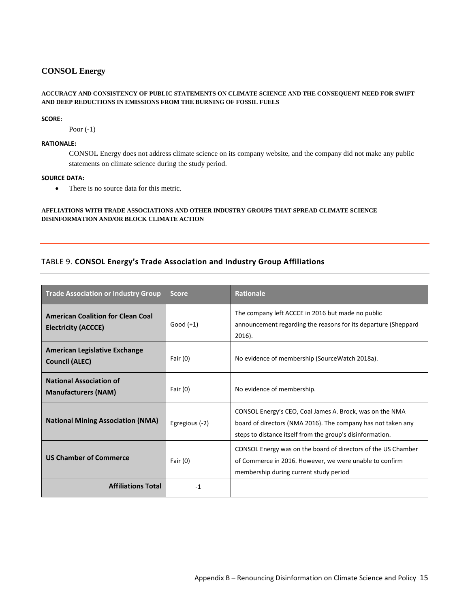# **CONSOL Energy**

## **ACCURACY AND CONSISTENCY OF PUBLIC STATEMENTS ON CLIMATE SCIENCE AND THE CONSEQUENT NEED FOR SWIFT AND DEEP REDUCTIONS IN EMISSIONS FROM THE BURNING OF FOSSIL FUELS**

#### **SCORE:**

Poor (-1)

# **RATIONALE:**

CONSOL Energy does not address climate science on its company website, and the company did not make any public statements on climate science during the study period.

#### **SOURCE DATA:**

• There is no source data for this metric.

# **AFFLIATIONS WITH TRADE ASSOCIATIONS AND OTHER INDUSTRY GROUPS THAT SPREAD CLIMATE SCIENCE DISINFORMATION AND/OR BLOCK CLIMATE ACTION**

# TABLE 9. **CONSOL Energy's Trade Association and Industry Group Affiliations**

| <b>Trade Association or Industry Group</b>                             | <b>Score</b>   | <b>Rationale</b>                                                                                                                                                                      |
|------------------------------------------------------------------------|----------------|---------------------------------------------------------------------------------------------------------------------------------------------------------------------------------------|
| <b>American Coalition for Clean Coal</b><br><b>Electricity (ACCCE)</b> | Good $(+1)$    | The company left ACCCE in 2016 but made no public<br>announcement regarding the reasons for its departure (Sheppard<br>$2016$ ).                                                      |
| American Legislative Exchange<br><b>Council (ALEC)</b>                 | Fair $(0)$     | No evidence of membership (SourceWatch 2018a).                                                                                                                                        |
| <b>National Association of</b><br><b>Manufacturers (NAM)</b>           | Fair $(0)$     | No evidence of membership.                                                                                                                                                            |
| <b>National Mining Association (NMA)</b>                               | Egregious (-2) | CONSOL Energy's CEO, Coal James A. Brock, was on the NMA<br>board of directors (NMA 2016). The company has not taken any<br>steps to distance itself from the group's disinformation. |
| <b>US Chamber of Commerce</b>                                          | Fair $(0)$     | CONSOL Energy was on the board of directors of the US Chamber<br>of Commerce in 2016. However, we were unable to confirm<br>membership during current study period                    |
| <b>Affiliations Total</b>                                              | $-1$           |                                                                                                                                                                                       |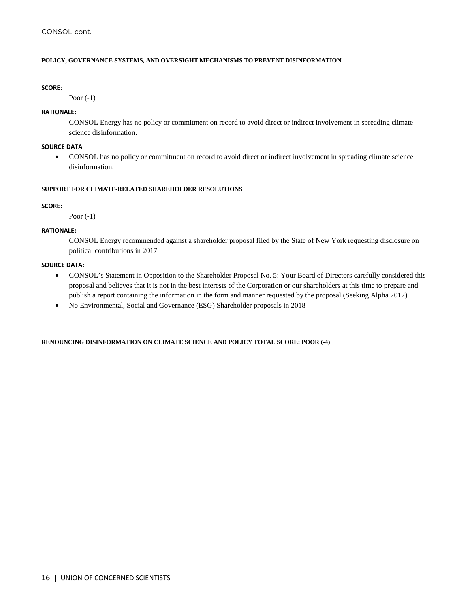#### **SCORE:**

Poor (-1)

# **RATIONALE:**

CONSOL Energy has no policy or commitment on record to avoid direct or indirect involvement in spreading climate science disinformation.

#### **SOURCE DATA**

• CONSOL has no policy or commitment on record to avoid direct or indirect involvement in spreading climate science disinformation.

# **SUPPORT FOR CLIMATE-RELATED SHAREHOLDER RESOLUTIONS**

#### **SCORE:**

Poor (-1)

# **RATIONALE:**

CONSOL Energy recommended against a shareholder proposal filed by the State of New York requesting disclosure on political contributions in 2017.

#### **SOURCE DATA:**

- CONSOL's Statement in Opposition to the Shareholder Proposal No. 5: Your Board of Directors carefully considered this proposal and believes that it is not in the best interests of the Corporation or our shareholders at this time to prepare and publish a report containing the information in the form and manner requested by the proposal (Seeking Alpha 2017).
- No Environmental, Social and Governance (ESG) Shareholder proposals in 2018

**RENOUNCING DISINFORMATION ON CLIMATE SCIENCE AND POLICY TOTAL SCORE: POOR (-4)**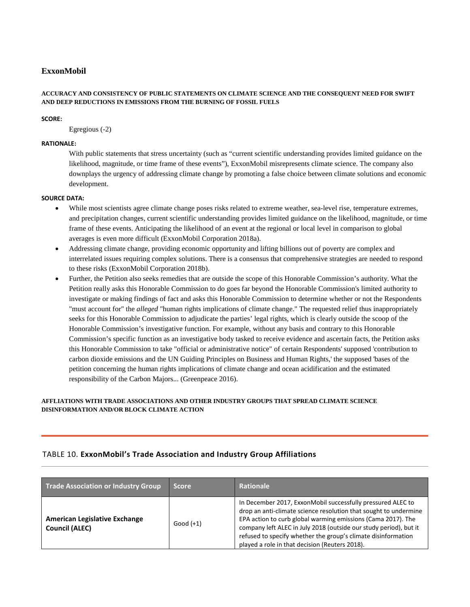# **ExxonMobil**

# **ACCURACY AND CONSISTENCY OF PUBLIC STATEMENTS ON CLIMATE SCIENCE AND THE CONSEQUENT NEED FOR SWIFT AND DEEP REDUCTIONS IN EMISSIONS FROM THE BURNING OF FOSSIL FUELS**

# **SCORE:**

Egregious (-2)

# **RATIONALE:**

With public statements that stress uncertainty (such as "current scientific understanding provides limited guidance on the likelihood, magnitude, or time frame of these events"), ExxonMobil misrepresents climate science. The company also downplays the urgency of addressing climate change by promoting a false choice between climate solutions and economic development.

# **SOURCE DATA:**

- While most scientists agree climate change poses risks related to extreme weather, sea-level rise, temperature extremes, and precipitation changes, current scientific understanding provides limited guidance on the likelihood, magnitude, or time frame of these events. Anticipating the likelihood of an event at the regional or local level in comparison to global averages is even more difficult (ExxonMobil Corporation 2018a).
- Addressing climate change, providing economic opportunity and lifting billions out of poverty are complex and interrelated issues requiring complex solutions. There is a consensus that comprehensive strategies are needed to respond to these risks (ExxonMobil Corporation 2018b).
- Further, the Petition also seeks remedies that are outside the scope of this Honorable Commission's authority. What the Petition really asks this Honorable Commission to do goes far beyond the Honorable Commission's limited authority to investigate or making findings of fact and asks this Honorable Commission to determine whether or not the Respondents "must account for" the *alleged* "human rights implications of climate change." The requested relief thus inappropriately seeks for this Honorable Commission to adjudicate the parties' legal rights, which is clearly outside the scoop of the Honorable Commission's investigative function. For example, without any basis and contrary to this Honorable Commission's specific function as an investigative body tasked to receive evidence and ascertain facts, the Petition asks this Honorable Commission to take "official or administrative notice" of certain Respondents' supposed 'contribution to carbon dioxide emissions and the UN Guiding Principles on Business and Human Rights,' the supposed 'bases of the petition concerning the human rights implications of climate change and ocean acidification and the estimated responsibility of the Carbon Majors... (Greenpeace 2016).

# **AFFLIATIONS WITH TRADE ASSOCIATIONS AND OTHER INDUSTRY GROUPS THAT SPREAD CLIMATE SCIENCE DISINFORMATION AND/OR BLOCK CLIMATE ACTION**

# TABLE 10. **ExxonMobil's Trade Association and Industry Group Affiliations**

| Trade Association or Industry Group                           | <b>Score</b> | <b>Rationale</b>                                                                                                                                                                                                                                                                                                                                                                        |
|---------------------------------------------------------------|--------------|-----------------------------------------------------------------------------------------------------------------------------------------------------------------------------------------------------------------------------------------------------------------------------------------------------------------------------------------------------------------------------------------|
| <b>American Legislative Exchange</b><br><b>Council (ALEC)</b> | Good $(+1)$  | In December 2017, ExxonMobil successfully pressured ALEC to<br>drop an anti-climate science resolution that sought to undermine<br>EPA action to curb global warming emissions (Cama 2017). The<br>company left ALEC in July 2018 (outside our study period), but it<br>refused to specify whether the group's climate disinformation<br>played a role in that decision (Reuters 2018). |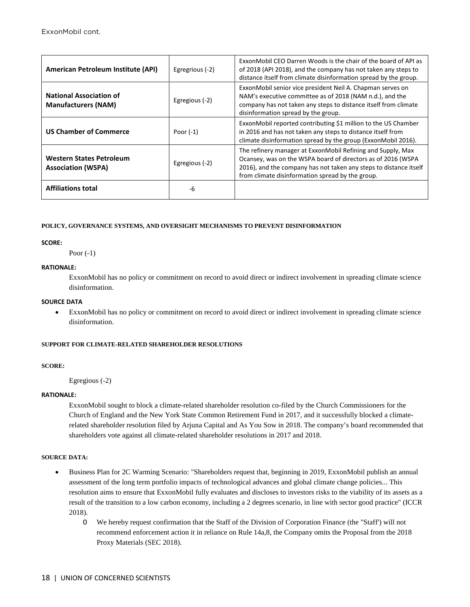| American Petroleum Institute (API)                           | Egregrious (-2) | ExxonMobil CEO Darren Woods is the chair of the board of API as<br>of 2018 (API 2018), and the company has not taken any steps to<br>distance itself from climate disinformation spread by the group.                                                |
|--------------------------------------------------------------|-----------------|------------------------------------------------------------------------------------------------------------------------------------------------------------------------------------------------------------------------------------------------------|
| <b>National Association of</b><br><b>Manufacturers (NAM)</b> | Egregious (-2)  | ExxonMobil senior vice president Neil A. Chapman serves on<br>NAM's executive committee as of 2018 (NAM n.d.), and the<br>company has not taken any steps to distance itself from climate<br>disinformation spread by the group.                     |
| <b>US Chamber of Commerce</b>                                | Poor $(-1)$     | ExxonMobil reported contributing \$1 million to the US Chamber<br>in 2016 and has not taken any steps to distance itself from<br>climate disinformation spread by the group (ExxonMobil 2016).                                                       |
| <b>Western States Petroleum</b><br><b>Association (WSPA)</b> | Egregious (-2)  | The refinery manager at ExxonMobil Refining and Supply, Max<br>Ocansey, was on the WSPA board of directors as of 2016 (WSPA<br>2016), and the company has not taken any steps to distance itself<br>from climate disinformation spread by the group. |
| <b>Affiliations total</b>                                    | -6              |                                                                                                                                                                                                                                                      |

#### **SCORE:**

Poor (-1)

# **RATIONALE:**

ExxonMobil has no policy or commitment on record to avoid direct or indirect involvement in spreading climate science disinformation.

#### **SOURCE DATA**

• ExxonMobil has no policy or commitment on record to avoid direct or indirect involvement in spreading climate science disinformation.

#### **SUPPORT FOR CLIMATE-RELATED SHAREHOLDER RESOLUTIONS**

#### **SCORE:**

Egregious (-2)

# **RATIONALE:**

ExxonMobil sought to block a climate-related shareholder resolution co-filed by the Church Commissioners for the Church of England and the New York State Common Retirement Fund in 2017, and it successfully blocked a climaterelated shareholder resolution filed by Arjuna Capital and As You Sow in 2018. The company's board recommended that shareholders vote against all climate-related shareholder resolutions in 2017 and 2018.

# **SOURCE DATA:**

- Business Plan for 2C Warming Scenario: "Shareholders request that, beginning in 2019, ExxonMobil publish an annual assessment of the long term portfolio impacts of technological advances and global climate change policies... This resolution aims to ensure that ExxonMobil fully evaluates and discloses to investors risks to the viability of its assets as a result of the transition to a low carbon economy, including a 2 degrees scenario, in line with sector good practice" (ICCR 2018).
	- O We hereby request confirmation that the Staff of the Division of Corporation Finance (the "Staff') will not recommend enforcement action it in reliance on Rule 14a,8, the Company omits the Proposal from the 2018 Proxy Materials (SEC 2018).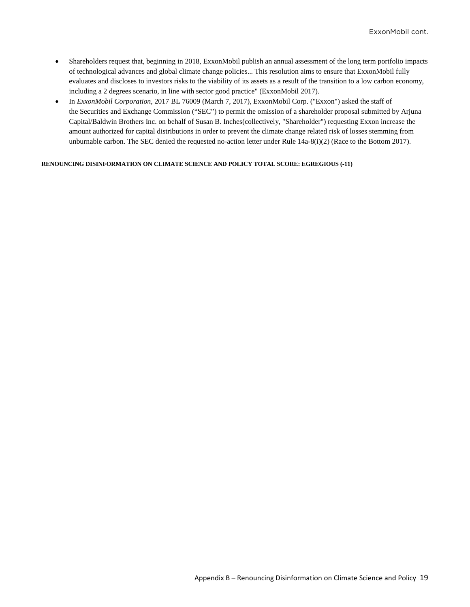- Shareholders request that, beginning in 2018, ExxonMobil publish an annual assessment of the long term portfolio impacts of technological advances and global climate change policies... This resolution aims to ensure that ExxonMobil fully evaluates and discloses to investors risks to the viability of its assets as a result of the transition to a low carbon economy, including a 2 degrees scenario, in line with sector good practice" (ExxonMobil 2017).
- In *ExxonMobil Corporation*, 2017 BL 76009 (March 7, 2017), ExxonMobil Corp. ("Exxon") asked the staff of the Securities and Exchange Commission ("SEC") to permit the omission of a shareholder proposal submitted by Arjuna Capital/Baldwin Brothers Inc. on behalf of Susan B. Inches(collectively, "Shareholder") requesting Exxon increase the amount authorized for capital distributions in order to prevent the climate change related risk of losses stemming from unburnable carbon. The SEC denied the requested no-action letter under Rule 14a-8(i)(2) (Race to the Bottom 2017).

**RENOUNCING DISINFORMATION ON CLIMATE SCIENCE AND POLICY TOTAL SCORE: EGREGIOUS (-11)**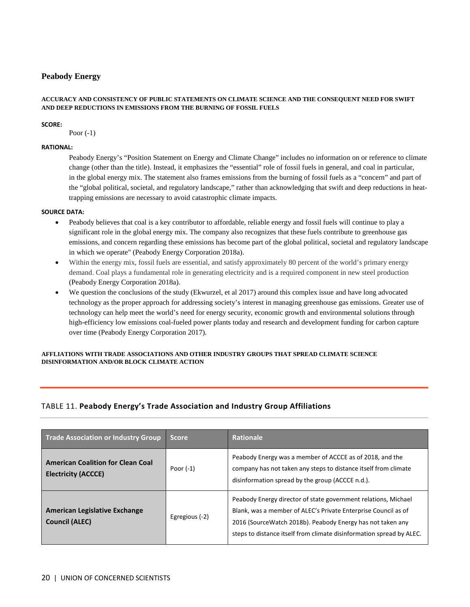# **Peabody Energy**

# **ACCURACY AND CONSISTENCY OF PUBLIC STATEMENTS ON CLIMATE SCIENCE AND THE CONSEQUENT NEED FOR SWIFT AND DEEP REDUCTIONS IN EMISSIONS FROM THE BURNING OF FOSSIL FUELS**

# **SCORE:**

Poor (-1)

# **RATIONAL:**

Peabody Energy's "Position Statement on Energy and Climate Change" includes no information on or reference to climate change (other than the title). Instead, it emphasizes the "essential" role of fossil fuels in general, and coal in particular, in the global energy mix. The statement also frames emissions from the burning of fossil fuels as a "concern" and part of the "global political, societal, and regulatory landscape," rather than acknowledging that swift and deep reductions in heattrapping emissions are necessary to avoid catastrophic climate impacts.

# **SOURCE DATA:**

- Peabody believes that coal is a key contributor to affordable, reliable energy and fossil fuels will continue to play a significant role in the global energy mix. The company also recognizes that these fuels contribute to greenhouse gas emissions, and concern regarding these emissions has become part of the global political, societal and regulatory landscape in which we operate" (Peabody Energy Corporation 2018a).
- Within the energy mix, fossil fuels are essential, and satisfy approximately 80 percent of the world's primary energy demand. Coal plays a fundamental role in generating electricity and is a required component in new steel production (Peabody Energy Corporation 2018a).
- We question the conclusions of the study (Ekwurzel, et al 2017) around this complex issue and have long advocated technology as the proper approach for addressing society's interest in managing greenhouse gas emissions. Greater use of technology can help meet the world's need for energy security, economic growth and environmental solutions through high-efficiency low emissions coal-fueled power plants today and research and development funding for carbon capture over time (Peabody Energy Corporation 2017).

# **AFFLIATIONS WITH TRADE ASSOCIATIONS AND OTHER INDUSTRY GROUPS THAT SPREAD CLIMATE SCIENCE DISINFORMATION AND/OR BLOCK CLIMATE ACTION**

# TABLE 11. **Peabody Energy's Trade Association and Industry Group Affiliations**

| Trade Association or Industry Group                                    | <b>Score</b>   | <b>Rationale</b>                                                                                                                                                                                                                                                       |
|------------------------------------------------------------------------|----------------|------------------------------------------------------------------------------------------------------------------------------------------------------------------------------------------------------------------------------------------------------------------------|
| <b>American Coalition for Clean Coal</b><br><b>Electricity (ACCCE)</b> | Poor $(-1)$    | Peabody Energy was a member of ACCCE as of 2018, and the<br>company has not taken any steps to distance itself from climate<br>disinformation spread by the group (ACCCE n.d.).                                                                                        |
| <b>American Legislative Exchange</b><br><b>Council (ALEC)</b>          | Egregious (-2) | Peabody Energy director of state government relations, Michael<br>Blank, was a member of ALEC's Private Enterprise Council as of<br>2016 (SourceWatch 2018b). Peabody Energy has not taken any<br>steps to distance itself from climate disinformation spread by ALEC. |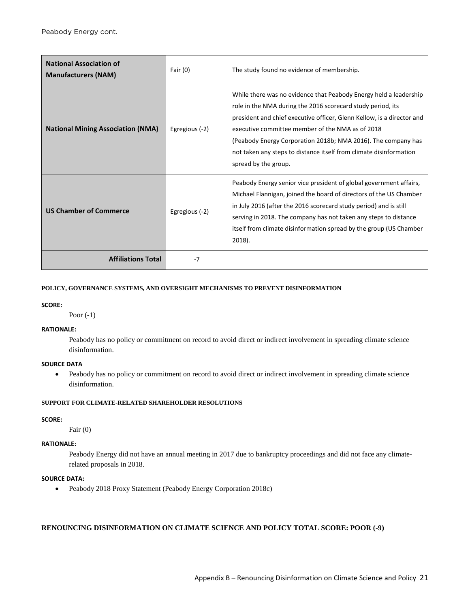| <b>National Association of</b><br><b>Manufacturers (NAM)</b> | Fair $(0)$     | The study found no evidence of membership.                                                                                                                                                                                                                                                                                                                                                                                    |
|--------------------------------------------------------------|----------------|-------------------------------------------------------------------------------------------------------------------------------------------------------------------------------------------------------------------------------------------------------------------------------------------------------------------------------------------------------------------------------------------------------------------------------|
| <b>National Mining Association (NMA)</b>                     | Egregious (-2) | While there was no evidence that Peabody Energy held a leadership<br>role in the NMA during the 2016 scorecard study period, its<br>president and chief executive officer, Glenn Kellow, is a director and<br>executive committee member of the NMA as of 2018<br>(Peabody Energy Corporation 2018b; NMA 2016). The company has<br>not taken any steps to distance itself from climate disinformation<br>spread by the group. |
| <b>US Chamber of Commerce</b>                                | Egregious (-2) | Peabody Energy senior vice president of global government affairs,<br>Michael Flannigan, joined the board of directors of the US Chamber<br>in July 2016 (after the 2016 scorecard study period) and is still<br>serving in 2018. The company has not taken any steps to distance<br>itself from climate disinformation spread by the group (US Chamber<br>2018).                                                             |
| <b>Affiliations Total</b>                                    | $-7$           |                                                                                                                                                                                                                                                                                                                                                                                                                               |

# **SCORE:**

Poor (-1)

# **RATIONALE:**

Peabody has no policy or commitment on record to avoid direct or indirect involvement in spreading climate science disinformation.

# **SOURCE DATA**

• Peabody has no policy or commitment on record to avoid direct or indirect involvement in spreading climate science disinformation.

# **SUPPORT FOR CLIMATE-RELATED SHAREHOLDER RESOLUTIONS**

# **SCORE:**

Fair (0)

# **RATIONALE:**

Peabody Energy did not have an annual meeting in 2017 due to bankruptcy proceedings and did not face any climaterelated proposals in 2018.

# **SOURCE DATA:**

• Peabody 2018 Proxy Statement (Peabody Energy Corporation 2018c)

# **RENOUNCING DISINFORMATION ON CLIMATE SCIENCE AND POLICY TOTAL SCORE: POOR (-9)**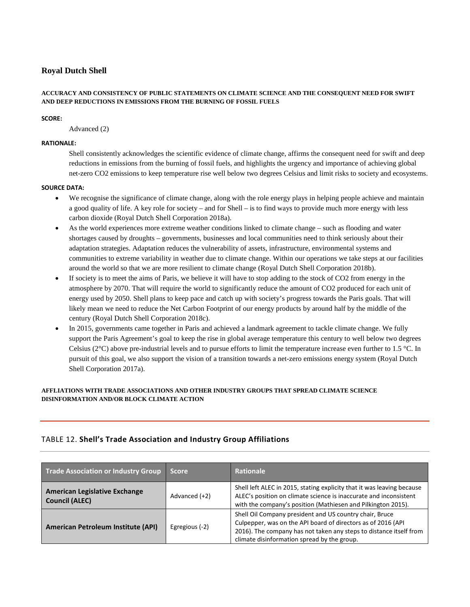# **Royal Dutch Shell**

# **ACCURACY AND CONSISTENCY OF PUBLIC STATEMENTS ON CLIMATE SCIENCE AND THE CONSEQUENT NEED FOR SWIFT AND DEEP REDUCTIONS IN EMISSIONS FROM THE BURNING OF FOSSIL FUELS**

# **SCORE:**

Advanced (2)

# **RATIONALE:**

Shell consistently acknowledges the scientific evidence of climate change, affirms the consequent need for swift and deep reductions in emissions from the burning of fossil fuels, and highlights the urgency and importance of achieving global net-zero CO2 emissions to keep temperature rise well below two degrees Celsius and limit risks to society and ecosystems.

# **SOURCE DATA:**

- We recognise the significance of climate change, along with the role energy plays in helping people achieve and maintain a good quality of life. A key role for society – and for Shell – is to find ways to provide much more energy with less carbon dioxide (Royal Dutch Shell Corporation 2018a).
- As the world experiences more extreme weather conditions linked to climate change such as flooding and water shortages caused by droughts – governments, businesses and local communities need to think seriously about their adaptation strategies. Adaptation reduces the vulnerability of assets, infrastructure, environmental systems and communities to extreme variability in weather due to climate change. Within our operations we take steps at our facilities around the world so that we are more resilient to climate change (Royal Dutch Shell Corporation 2018b).
- If society is to meet the aims of Paris, we believe it will have to stop adding to the stock of CO2 from energy in the atmosphere by 2070. That will require the world to significantly reduce the amount of CO2 produced for each unit of energy used by 2050. Shell plans to keep pace and catch up with society's progress towards the Paris goals. That will likely mean we need to reduce the Net Carbon Footprint of our energy products by around half by the middle of the century (Royal Dutch Shell Corporation 2018c).
- In 2015, governments came together in Paris and achieved a landmark agreement to tackle climate change. We fully support the Paris Agreement's goal to keep the rise in global average temperature this century to well below two degrees Celsius ( $2^{\circ}$ C) above pre-industrial levels and to pursue efforts to limit the temperature increase even further to 1.5  $^{\circ}$ C. In pursuit of this goal, we also support the vision of a transition towards a net-zero emissions energy system (Royal Dutch Shell Corporation 2017a).

# **AFFLIATIONS WITH TRADE ASSOCIATIONS AND OTHER INDUSTRY GROUPS THAT SPREAD CLIMATE SCIENCE DISINFORMATION AND/OR BLOCK CLIMATE ACTION**

# TABLE 12. **Shell's Trade Association and Industry Group Affiliations**

| Trade Association or Industry Group                           | <b>Score</b>   | <b>Rationale</b>                                                                                                                                                                                                                             |
|---------------------------------------------------------------|----------------|----------------------------------------------------------------------------------------------------------------------------------------------------------------------------------------------------------------------------------------------|
| <b>American Legislative Exchange</b><br><b>Council (ALEC)</b> | Advanced (+2)  | Shell left ALEC in 2015, stating explicity that it was leaving because<br>ALEC's position on climate science is inaccurate and inconsistent<br>with the company's position (Mathiesen and Pilkington 2015).                                  |
| American Petroleum Institute (API)                            | Egregious (-2) | Shell Oil Company president and US country chair, Bruce<br>Culpepper, was on the API board of directors as of 2016 (API<br>2016). The company has not taken any steps to distance itself from<br>climate disinformation spread by the group. |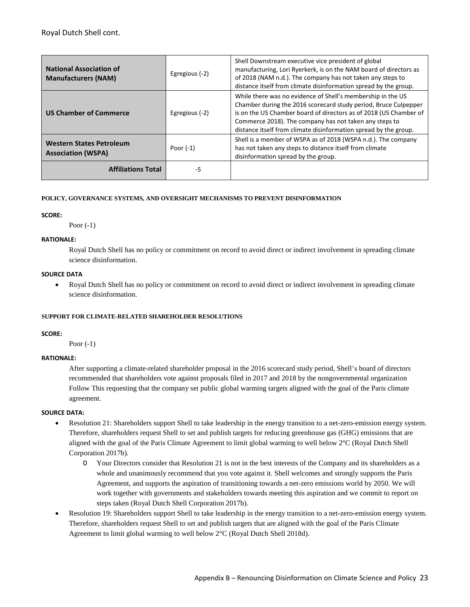| <b>National Association of</b><br><b>Manufacturers (NAM)</b> | Egregious (-2) | Shell Downstream executive vice president of global<br>manufacturing, Lori Ryerkerk, is on the NAM board of directors as<br>of 2018 (NAM n.d.). The company has not taken any steps to<br>distance itself from climate disinformation spread by the group.                                                                        |
|--------------------------------------------------------------|----------------|-----------------------------------------------------------------------------------------------------------------------------------------------------------------------------------------------------------------------------------------------------------------------------------------------------------------------------------|
| <b>US Chamber of Commerce</b>                                | Egregious (-2) | While there was no evidence of Shell's membership in the US<br>Chamber during the 2016 scorecard study period, Bruce Culpepper<br>is on the US Chamber board of directors as of 2018 (US Chamber of<br>Commerce 2018). The company has not taken any steps to<br>distance itself from climate disinformation spread by the group. |
| <b>Western States Petroleum</b><br><b>Association (WSPA)</b> | Poor $(-1)$    | Shell is a member of WSPA as of 2018 (WSPA n.d.). The company<br>has not taken any steps to distance itself from climate<br>disinformation spread by the group.                                                                                                                                                                   |
| <b>Affiliations Total</b>                                    | -5             |                                                                                                                                                                                                                                                                                                                                   |

#### **SCORE:**

Poor (-1)

# **RATIONALE:**

Royal Dutch Shell has no policy or commitment on record to avoid direct or indirect involvement in spreading climate science disinformation.

#### **SOURCE DATA**

• Royal Dutch Shell has no policy or commitment on record to avoid direct or indirect involvement in spreading climate science disinformation.

# **SUPPORT FOR CLIMATE-RELATED SHAREHOLDER RESOLUTIONS**

#### **SCORE:**

Poor (-1)

# **RATIONALE:**

After supporting a climate-related shareholder proposal in the 2016 scorecard study period, Shell's board of directors recommended that shareholders vote against proposals filed in 2017 and 2018 by the nongovernmental organization Follow This requesting that the company set public global warming targets aligned with the goal of the Paris climate agreement.

# **SOURCE DATA:**

- Resolution 21: Shareholders support Shell to take leadership in the energy transition to a net-zero-emission energy system. Therefore, shareholders request Shell to set and publish targets for reducing greenhouse gas (GHG) emissions that are aligned with the goal of the Paris Climate Agreement to limit global warming to well below 2°C (Royal Dutch Shell Corporation 2017b).
	- O Your Directors consider that Resolution 21 is not in the best interests of the Company and its shareholders as a whole and unanimously recommend that you vote against it. Shell welcomes and strongly supports the Paris Agreement, and supports the aspiration of transitioning towards a net-zero emissions world by 2050. We will work together with governments and stakeholders towards meeting this aspiration and we commit to report on steps taken (Royal Dutch Shell Corporation 2017b).
- Resolution 19: Shareholders support Shell to take leadership in the energy transition to a net-zero-emission energy system. Therefore, shareholders request Shell to set and publish targets that are aligned with the goal of the Paris Climate Agreement to limit global warming to well below 2°C (Royal Dutch Shell 2018d).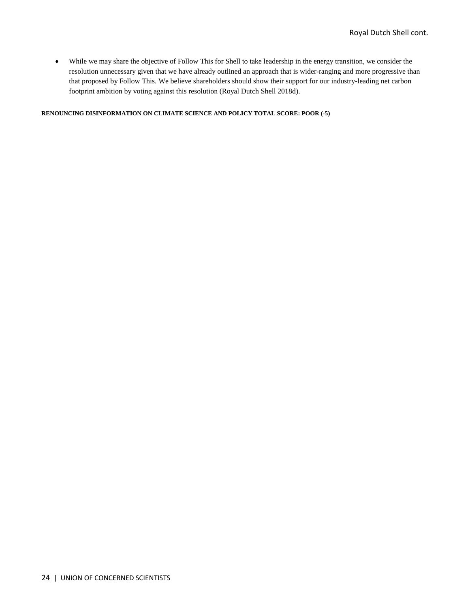• While we may share the objective of Follow This for Shell to take leadership in the energy transition, we consider the resolution unnecessary given that we have already outlined an approach that is wider-ranging and more progressive than that proposed by Follow This. We believe shareholders should show their support for our industry-leading net carbon footprint ambition by voting against this resolution (Royal Dutch Shell 2018d).

**RENOUNCING DISINFORMATION ON CLIMATE SCIENCE AND POLICY TOTAL SCORE: POOR (-5)**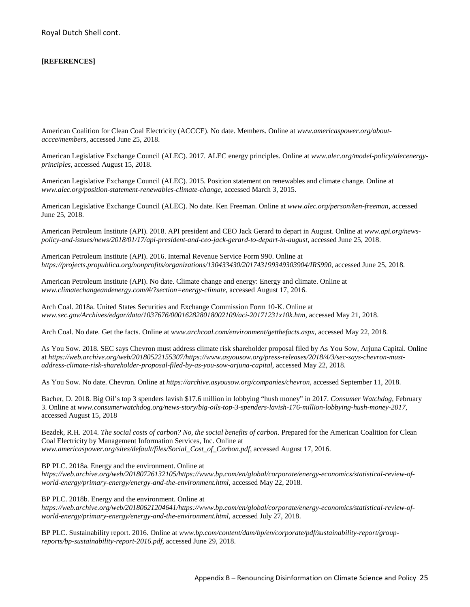# **[REFERENCES]**

American Coalition for Clean Coal Electricity (ACCCE). No date. Members. Online at *www.americaspower.org/aboutaccce/members*, accessed June 25, 2018.

American Legislative Exchange Council (ALEC). 2017. ALEC energy principles. Online at *www.alec.org/model-policy/alecenergyprinciples*, accessed August 15, 2018.

American Legislative Exchange Council (ALEC). 2015. Position statement on renewables and climate change. Online at *www.alec.org/position-statement-renewables-climate-change*, accessed March 3, 2015.

American Legislative Exchange Council (ALEC). No date. Ken Freeman. Online at *www.alec.org/person/ken-freeman*, accessed June 25, 2018.

American Petroleum Institute (API). 2018. API president and CEO Jack Gerard to depart in August. Online at *www.api.org/newspolicy-and-issues/news/2018/01/17/api-president-and-ceo-jack-gerard-to-depart-in-august*, accessed June 25, 2018.

American Petroleum Institute (API). 2016. Internal Revenue Service Form 990. Online at *https://projects.propublica.org/nonprofits/organizations/130433430/201743199349303904/IRS990*, accessed June 25, 2018.

American Petroleum Institute (API). No date. Climate change and energy: Energy and climate. Online at *www.climatechangeandenergy.com/#/?section=energy-climate*, accessed August 17, 2016.

Arch Coal. 2018a. United States Securities and Exchange Commission Form 10-K. Online at *www.sec.gov/Archives/edgar/data/1037676/000162828018002109/aci-20171231x10k.htm*, accessed May 21, 2018.

Arch Coal. No date. Get the facts. Online at *www.archcoal.com/environment/getthefacts.aspx,* accessed May 22, 2018.

As You Sow. 2018. SEC says Chevron must address climate risk shareholder proposal filed by As You Sow, Arjuna Capital. Online at *https://web.archive.org/web/20180522155307/https://www.asyousow.org/press-releases/2018/4/3/sec-says-chevron-mustaddress-climate-risk-shareholder-proposal-filed-by-as-you-sow-arjuna-capital*, accessed May 22, 2018.

As You Sow. No date. Chevron. Online at *https://archive.asyousow.org/companies/chevron*, accessed September 11, 2018.

Bacher, D. 2018. Big Oil's top 3 spenders lavish \$17.6 million in lobbying "hush money" in 2017. *Consumer Watchdog*, February 3. Online at *www.consumerwatchdog.org/news-story/big-oils-top-3-spenders-lavish-176-million-lobbying-hush-money-2017,*  accessed August 15, 2018

Bezdek, R.H. 2014. *The social costs of carbon? No, the social benefits of carbon.* Prepared for the American Coalition for Clean Coal Electricity by Management Information Services, Inc. Online at *www.americaspower.org/sites/default/files/Social\_Cost\_of\_Carbon.pdf*, accessed August 17, 2016.

BP PLC. 2018a. Energy and the environment. Online at

*https://web.archive.org/web/20180726132105/https://www.bp.com/en/global/corporate/energy-economics/statistical-review-ofworld-energy/primary-energy/energy-and-the-environment.html,* accessed May 22, 2018*.*

BP PLC. 2018b. Energy and the environment. Online at

*https://web.archive.org/web/20180621204641/https://www.bp.com/en/global/corporate/energy-economics/statistical-review-ofworld-energy/primary-energy/energy-and-the-environment.html,* accessed July 27, 2018.

BP PLC. Sustainability report. 2016. Online at *www.bp.com/content/dam/bp/en/corporate/pdf/sustainability-report/groupreports/bp-sustainability-report-2016.pdf,* accessed June 29, 2018.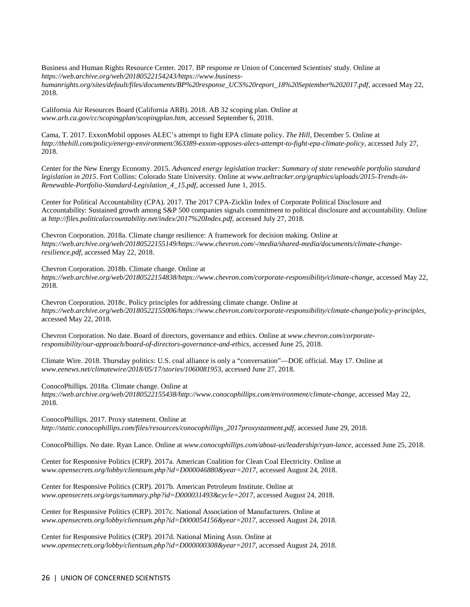Business and Human Rights Resource Center. 2017. BP response re Union of Concerned Scientists' study. Online at *https://web.archive.org/web/20180522154243/https://www.business*humanrights.org/sites/default/files/documents/BP%20response\_UCS%20report\_18%20September%202017.pdf, accessed May 22, 2018.

California Air Resources Board (California ARB). 2018. AB 32 scoping plan. Online at *www.arb.ca.gov/cc/scopingplan/scopingplan.htm*, accessed September 6, 2018.

Cama, T. 2017. ExxonMobil opposes ALEC's attempt to fight EPA climate policy. *The Hill*, December 5. Online at *http://thehill.com/policy/energy-environment/363389-exxon-opposes-alecs-attempt-to-fight-epa-climate-policy*, accessed July 27, 2018.

Center for the New Energy Economy. 2015. *Advanced energy legislation tracker: Summary of state renewable portfolio standard legislation in 2015*. Fort Collins: Colorado State University. Online at *www.aeltracker.org/graphics/uploads/2015-Trends-in-Renewable-Portfolio-Standard-Legislation\_4\_15.pdf*, accessed June 1, 2015.

Center for Political Accountability (CPA). 2017. The 2017 CPA-Zicklin Index of Corporate Political Disclosure and Accountability: Sustained growth among S&P 500 companies signals commitment to political disclosure and accountability. Online at *http://files.politicalaccountability.net/index/2017%20Index.pdf*, accessed July 27, 2018.

Chevron Corporation. 2018a. Climate change resilience: A framework for decision making. Online at *https://web.archive.org/web/20180522155149/https://www.chevron.com/-/media/shared-media/documents/climate-changeresilience.pdf,* accessed May 22, 2018.

Chevron Corporation. 2018b. Climate change. Online at https://web.archive.org/web/20180522154838/https://www.chevron.com/corporate-responsibility/climate-change, accessed May 22, 2018.

Chevron Corporation. 2018c. Policy principles for addressing climate change. Online at *https://web.archive.org/web/20180522155006/https://www.chevron.com/corporate-responsibility/climate-change/policy-principles,*  accessed May 22, 2018.

Chevron Corporation. No date. Board of directors, governance and ethics. Online at *www.chevron.com/corporateresponsibility/our-approach/board-of-directors-governance-and-ethics*, accessed June 25, 2018.

Climate Wire. 2018. Thursday politics: U.S. coal alliance is only a "conversation"—DOE official. May 17. Online at *www.eenews.net/climatewire/2018/05/17/stories/106008195*3, accessed June 27, 2018.

ConocoPhillips. 2018a. Climate change. Online at

*https://web.archive.org/web/20180522155438/http://www.conocophillips.com/environment/climate-change,* accessed May 22, 2018.

ConocoPhillips. 2017. Proxy statement. Online at *http://static.conocophillips.com/files/resources/conocophillips\_2017proxystatment.pdf*, accessed June 29, 2018.

ConocoPhillips. No date. Ryan Lance. Online at *www.conocophillips.com/about-us/leadership/ryan-lance*, accessed June 25, 2018.

Center for Responsive Politics (CRP). 2017a. American Coalition for Clean Coal Electricity. Online at w*ww.opensecrets.org/lobby/clientsum.php?id=D000046880&year=2017*, accessed August 24, 2018.

Center for Responsive Politics (CRP). 2017b. American Petroleum Institute. Online at *www.opensecrets.org/orgs/summary.php?id=D000031493&cycle=2017*, accessed August 24, 2018.

Center for Responsive Politics (CRP). 2017c. National Association of Manufacturers. Online at *www.opensecrets.org/lobby/clientsum.php?id=D000054156&year=2017*, accessed August 24, 2018.

Center for Responsive Politics (CRP). 2017d. National Mining Assn. Online at *www.opensecrets.org/lobby/clientsum.php?id=D000000308&year=2017*, accessed August 24, 2018.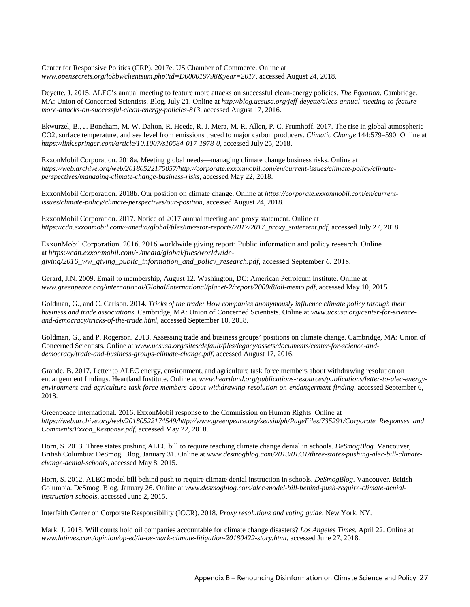Center for Responsive Politics (CRP). 2017e. US Chamber of Commerce. Online at *www.opensecrets.org/lobby/clientsum.php?id=D000019798&year=2017*, accessed August 24, 2018.

Deyette, J. 2015. ALEC's annual meeting to feature more attacks on successful clean-energy policies. *The Equation*. Cambridge, MA: Union of Concerned Scientists. Blog, July 21. Online at *http://blog.ucsusa.org/jeff-deyette/alecs-annual-meeting-to-featuremore-attacks-on-successful-clean-energy-policies-813*, accessed August 17, 2016.

Ekwurzel, B., J. Boneham, M. W. Dalton, R. Heede, R. J. Mera, M. R. Allen, P. C. Frumhoff. 2017. The rise in global atmospheric CO2, surface temperature, and sea level from emissions traced to major carbon producers. *Climatic Change* 144:579–590. Online at *https://link.springer.com/article/10.1007/s10584-017-1978-0*, accessed July 25, 2018.

ExxonMobil Corporation. 2018a. Meeting global needs—managing climate change business risks. Online at *https://web.archive.org/web/20180522175057/http://corporate.exxonmobil.com/en/current-issues/climate-policy/climateperspectives/managing-climate-change-business-risks*, accessed May 22, 2018.

ExxonMobil Corporation. 2018b. Our position on climate change. Online at *https://corporate.exxonmobil.com/en/currentissues/climate-policy/climate-perspectives/our-position*, accessed August 24, 2018.

ExxonMobil Corporation. 2017. Notice of 2017 annual meeting and proxy statement. Online at *https://cdn.exxonmobil.com/~/media/global/files/investor-reports/2017/2017\_proxy\_statement.pdf*, accessed July 27, 2018.

ExxonMobil Corporation. 2016. 2016 worldwide giving report: Public information and policy research. Online at *https://cdn.exxonmobil.com/~/media/global/files/worldwidegiving/2016\_ww\_giving\_public\_information\_and\_policy\_research.pdf*, accessed September 6, 2018. 

Gerard, J.N. 2009. Email to membership, August 12. Washington, DC: American Petroleum Institute. Online at *www.greenpeace.org/international/Global/international/planet-2/report/2009/8/oil-memo.pdf*, accessed May 10, 2015.

Goldman, G., and C. Carlson. 2014. *Tricks of the trade: How companies anonymously influence climate policy through their business and trade associations*. Cambridge, MA: Union of Concerned Scientists. Online at *www.ucsusa.org/center-for-scienceand-democracy/tricks-of-the-trade.html*, accessed September 10, 2018.

Goldman, G., and P. Rogerson. 2013. Assessing trade and business groups' positions on climate change. Cambridge, MA: Union of Concerned Scientists. Online at *www.ucsusa.org/sites/default/files/legacy/assets/documents/center-for-science-anddemocracy/trade-and-business-groups-climate-change.pdf*, accessed August 17, 2016.

Grande, B. 2017. Letter to ALEC energy, environment, and agriculture task force members about withdrawing resolution on endangerment findings. Heartland Institute. Online at *www.heartland.org/publications-resources/publications/letter-to-alec-energyenvironment-and-agriculture-task-force-members-about-withdrawing-resolution-on-endangerment-finding*, accessed September 6, 2018.

Greenpeace International. 2016. ExxonMobil response to the Commission on Human Rights. Online at *https://web.archive.org/web/20180522174549/http://www.greenpeace.org/seasia/ph/PageFiles/735291/Corporate\_Responses\_and\_ Comments/Exxon\_Response.pdf,* accessed May 22, 2018.

Horn, S. 2013. Three states pushing ALEC bill to require teaching climate change denial in schools. *DeSmogBlog.* Vancouver, British Columbia: DeSmog. Blog, January 31. Online at *www.desmogblog.com/2013/01/31/three-states-pushing-alec-bill-climatechange-denial-schools*, accessed May 8, 2015.

Horn, S. 2012. ALEC model bill behind push to require climate denial instruction in schools. *DeSmogBlog*. Vancouver, British Columbia. DeSmog. Blog, January 26. Online at *www.desmogblog.com/alec-model-bill-behind-push-require-climate-denialinstruction-schools*, accessed June 2, 2015.

Interfaith Center on Corporate Responsibility (ICCR). 2018. *Proxy resolutions and voting guide*. New York, NY.

Mark, J. 2018. Will courts hold oil companies accountable for climate change disasters? *Los Angeles Times*, April 22. Online at *www.latimes.com/opinion/op-ed/la-oe-mark-climate-litigation-20180422-story.html*, accessed June 27, 2018.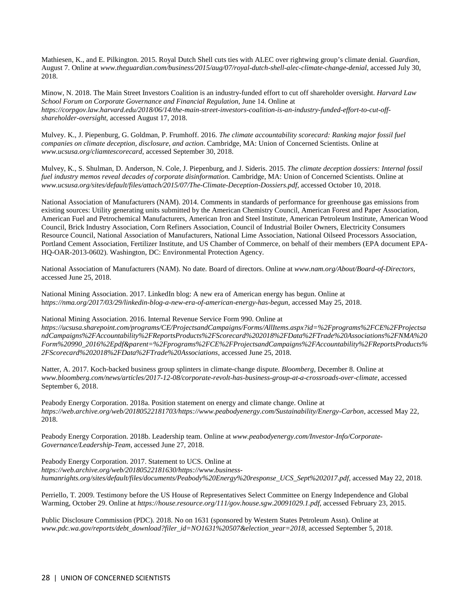Mathiesen, K., and E. Pilkington. 2015. Royal Dutch Shell cuts ties with ALEC over rightwing group's climate denial. *Guardian*, August 7. Online at *www.theguardian.com/business/2015/aug/07/royal-dutch-shell-alec-climate-change-denial*, accessed July 30, 2018.

Minow, N. 2018. The Main Street Investors Coalition is an industry-funded effort to cut off shareholder oversight. *Harvard Law School Forum on Corporate Governance and Financial Regulation*, June 14. Online at *https://corpgov.law.harvard.edu/2018/06/14/the-main-street-investors-coalition-is-an-industry-funded-effort-to-cut-offshareholder-oversight*, accessed August 17, 2018.

Mulvey. K., J. Piepenburg, G. Goldman, P. Frumhoff. 2016. *The climate accountability scorecard: Ranking major fossil fuel companies on climate deception, disclosure, and action*. Cambridge, MA: Union of Concerned Scientists. Online at *www.ucsusa.org/cliamtescorecard*, accessed September 30, 2018.

Mulvey, K., S. Shulman, D. Anderson, N. Cole, J. Piepenburg, and J. Sideris. 2015. *The climate deception dossiers: Internal fossil fuel industry memos reveal decades of corporate disinformation.* Cambridge, MA: Union of Concerned Scientists. Online at *www.ucsusa.org/sites/default/files/attach/2015/07/The-Climate-Deception-Dossiers.pdf*, accessed October 10, 2018.

National Association of Manufacturers (NAM). 2014. Comments in standards of performance for greenhouse gas emissions from existing sources: Utility generating units submitted by the American Chemistry Council, American Forest and Paper Association, American Fuel and Petrochemical Manufacturers, American Iron and Steel Institute, American Petroleum Institute, American Wood Council, Brick Industry Association, Corn Refiners Association, Council of Industrial Boiler Owners, Electricity Consumers Resource Council, National Association of Manufacturers, National Lime Association, National Oilseed Processors Association, Portland Cement Association, Fertilizer Institute, and US Chamber of Commerce, on behalf of their members (EPA document EPA-HQ-OAR-2013-0602). Washington, DC: Environmental Protection Agency.

National Association of Manufacturers (NAM). No date. Board of directors. Online at *www.nam.org/About/Board-of-Directors*, accessed June 25, 2018.

National Mining Association. 2017. LinkedIn blog: A new era of American energy has begun. Online at h*ttps://nma.org/2017/03/29/linkedin-blog-a-new-era-of-american-energy-has-begun*, accessed May 25, 2018.

National Mining Association. 2016. Internal Revenue Service Form 990. Online at *https://ucsusa.sharepoint.com/programs/CE/ProjectsandCampaigns/Forms/AllItems.aspx?id=%2Fprograms%2FCE%2FProjectsa ndCampaigns%2FAccountability%2FReportsProducts%2FScorecard%202018%2FData%2FTrade%20Associations%2FNMA%20 Form%20990\_2016%2Epdf&parent=%2Fprograms%2FCE%2FProjectsandCampaigns%2FAccountability%2FReportsProducts% 2FScorecard%202018%2FData%2FTrade%20Associations*, accessed June 25, 2018.

Natter, A. 2017. Koch-backed business group splinters in climate-change dispute. *Bloomberg*, December 8. Online at *www.bloomberg.com/news/articles/2017-12-08/corporate-revolt-has-business-group-at-a-crossroads-over-climate*, accessed September 6, 2018.

Peabody Energy Corporation. 2018a. Position statement on energy and climate change. Online at https://web.archive.org/web/20180522181703/https://www.peabodyenergy.com/Sustainability/Energy-Carbon, accessed May 22, 2018.

Peabody Energy Corporation. 2018b. Leadership team. Online at *www.peabodyenergy.com/Investor-Info/Corporate-Governance/Leadership-Team*, accessed June 27, 2018.

Peabody Energy Corporation. 2017. Statement to UCS. Online at *https://web.archive.org/web/20180522181630/https://www.businesshumanrights.org/sites/default/files/documents/Peabody%20Energy%20response\_UCS\_Sept%202017.pdf,* accessed May 22, 2018*.*

Perriello, T. 2009. Testimony before the US House of Representatives Select Committee on Energy Independence and Global Warming, October 29. Online at *https://house.resource.org/111/gov.house.sgw.20091029.1.pdf*, accessed February 23, 2015.

Public Disclosure Commission (PDC). 2018. No on 1631 (sponsored by Western States Petroleum Assn). Online at *www.pdc.wa.gov/reports/debt\_download?filer\_id=NO1631%20507&election\_year=2018,* accessed September 5, 2018.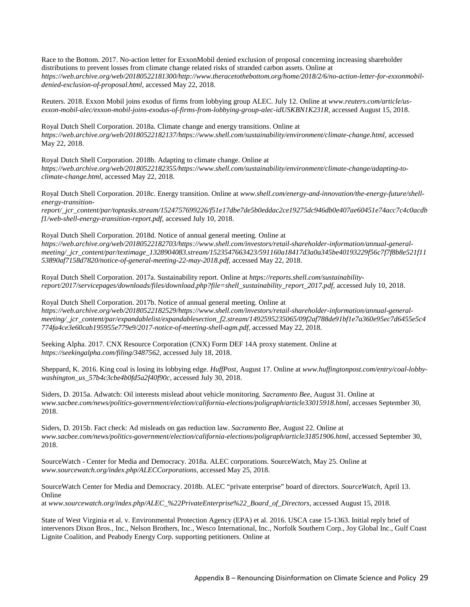Race to the Bottom. 2017. No-action letter for ExxonMobil denied exclusion of proposal concerning increasing shareholder distributions to prevent losses from climate change related risks of stranded carbon assets. Online at *https://web.archive.org/web/20180522181300/http://www.theracetothebottom.org/home/2018/2/6/no-action-letter-for-exxonmobildenied-exclusion-of-proposal.html,* accessed May 22, 2018.

Reuters. 2018. Exxon Mobil joins exodus of firms from lobbying group ALEC. July 12. Online at *www.reuters.com/article/usexxon-mobil-alec/exxon-mobil-joins-exodus-of-firms-from-lobbying-group-alec-idUSKBN1K231R*, accessed August 15, 2018.

Royal Dutch Shell Corporation. 2018a. Climate change and energy transitions. Online at *https://web.archive.org/web/20180522182137/https://www.shell.com/sustainability/environment/climate-change.html*, accessed May 22, 2018.

Royal Dutch Shell Corporation. 2018b. Adapting to climate change. Online at *https://web.archive.org/web/20180522182355/https://www.shell.com/sustainability/environment/climate-change/adapting-toclimate-change.html*, accessed May 22, 2018.

Royal Dutch Shell Corporation. 2018c. Energy transition. Online at *www.shell.com/energy-and-innovation/the-energy-future/shellenergy-transition-*

*report/\_jcr\_content/par/toptasks.stream/1524757699226/f51e17dbe7de5b0eddac2ce19275dc946db0e407ae60451e74acc7c4c0acdb f1/web-shell-energy-transition-report.pdf*, accessed July 10, 2018.

Royal Dutch Shell Corporation. 2018d. Notice of annual general meeting. Online at *https://web.archive.org/web/20180522182703/https://www.shell.com/investors/retail-shareholder-information/annual-generalmeeting/\_jcr\_content/par/textimage\_1328904083.stream/1523547663423/591160a18417d3a0a345be40193229f56c7f7f8b8e521f11 53890af7158d7820/notice-of-general-meeting-22-may-2018.pdf*, accessed May 22, 2018.

Royal Dutch Shell Corporation. 2017a. Sustainability report. Online at *https://reports.shell.com/sustainabilityreport/2017/servicepages/downloads/files/download.php?file=shell\_sustainability\_report\_2017.pdf*, accessed July 10, 2018.

Royal Dutch Shell Corporation. 2017b. Notice of annual general meeting. Online at *https://web.archive.org/web/20180522182529/https://www.shell.com/investors/retail-shareholder-information/annual-generalmeeting/\_jcr\_content/par/expandablelist/expandablesection\_f2.stream/1492595235065/09f2af788de91bf1e7a360e95ec7d6455e5c4 774fa4ce3e60cab195955e779e9/2017-notice-of-meeting-shell-agm.pdf*, accessed May 22, 2018.

Seeking Alpha. 2017. CNX Resource Corporation (CNX) Form DEF 14A proxy statement. Online at *https://seekingalpha.com/filing/3487562*, accessed July 18, 2018.

Sheppard, K. 2016. King coal is losing its lobbying edge. *HuffPost*, August 17. Online at *www.huffingtonpost.com/entry/coal-lobbywashington\_us\_57b4c3cbe4b0fd5a2f40f90c*, accessed July 30, 2018.

Siders, D. 2015a. Adwatch: Oil interests mislead about vehicle monitoring. *Sacramento Bee*, August 31. Online at *www.sacbee.com/news/politics-government/election/california-elections/poligraph/article33015918.html*, accesses September 30, 2018.

Siders, D. 2015b. Fact check: Ad misleads on gas reduction law. *Sacramento Bee*, August 22. Online at *www.sacbee.com/news/politics-government/election/california-elections/poligraph/article31851906.html*, accessed September 30, 2018.

SourceWatch - Center for Media and Democracy. 2018a. ALEC corporations. SourceWatch, May 25. Online at *www.sourcewatch.org/index.php/ALECCorporations*, accessed May 25, 2018.

SourceWatch Center for Media and Democracy. 2018b. ALEC "private enterprise" board of directors. *SourceWatch*, April 13. Online

at *www.sourcewatch.org/index.php/ALEC\_%22PrivateEnterprise%22\_Board\_of\_Directors*, accessed August 15, 2018.

State of West Virginia et al. v. Environmental Protection Agency (EPA) et al. 2016. USCA case 15-1363. Initial reply brief of intervenors Dixon Bros., Inc., Nelson Brothers, Inc., Wesco International, Inc., Norfolk Southern Corp., Joy Global Inc., Gulf Coast Lignite Coalition, and Peabody Energy Corp. supporting petitioners. Online at